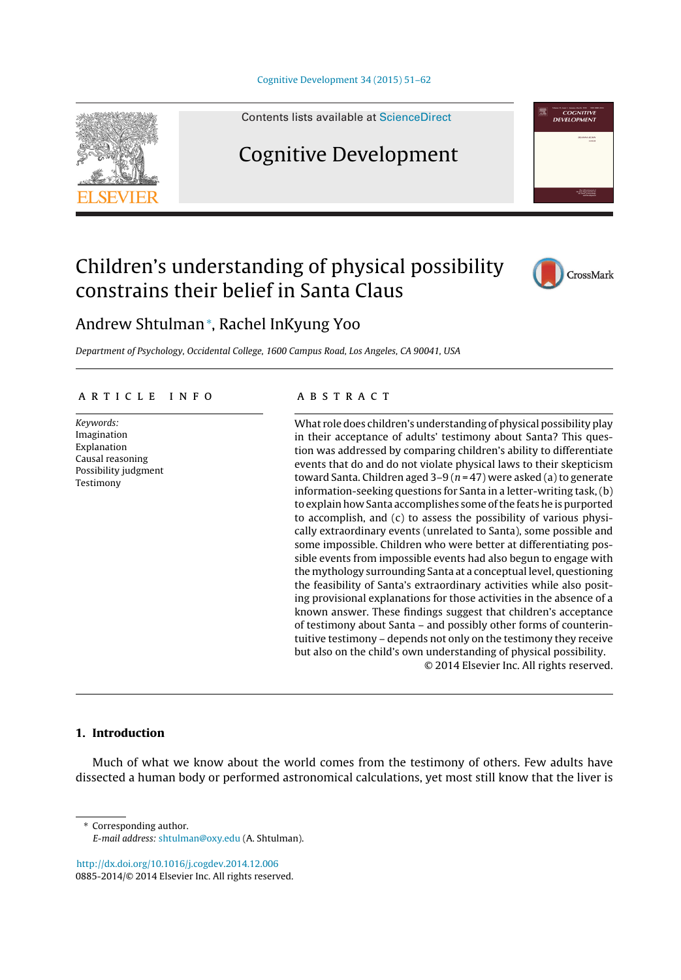

Contents lists available at [ScienceDirect](http://www.sciencedirect.com/science/journal/08852014)

# Cognitive Development





**COGNITIVE** 

# Andrew Shtulman<sup>∗</sup> , Rachel InKyung Yoo

Department of Psychology, Occidental College, 1600 Campus Road, Los Angeles, CA 90041, USA

#### a r t i c l e i n f o

Keywords: Imagination Explanation Causal reasoning Possibility judgment Testimony

# A B S T R A C T

What role does children's understanding of physical possibility play in their acceptance of adults' testimony about Santa? This question was addressed by comparing children's ability to differentiate events that do and do not violate physical laws to their skepticism toward Santa. Children aged  $3-9$  ( $n = 47$ ) were asked (a) to generate information-seeking questions for Santa in a letter-writing task, (b) to explain how Santa accomplishes some of the feats he is purported to accomplish, and (c) to assess the possibility of various physically extraordinary events (unrelated to Santa), some possible and some impossible. Children who were better at differentiating possible events from impossible events had also begun to engage with the mythology surrounding Santa at a conceptual level, questioning the feasibility of Santa's extraordinary activities while also positing provisional explanations for those activities in the absence of a known answer. These findings suggest that children's acceptance of testimony about Santa – and possibly other forms of counterintuitive testimony – depends not only on the testimony they receive but also on the child's own understanding of physical possibility. © 2014 Elsevier Inc. All rights reserved.

# **1. Introduction**

Much of what we know about the world comes from the testimony of others. Few adults have dissected a human body or performed astronomical calculations, yet most still know that the liver is

Corresponding author. E-mail address: [shtulman@oxy.edu](mailto:shtulman@oxy.edu) (A. Shtulman).

[http://dx.doi.org/10.1016/j.cogdev.2014.12.006](dx.doi.org/10.1016/j.cogdev.2014.12.006) 0885-2014/© 2014 Elsevier Inc. All rights reserved.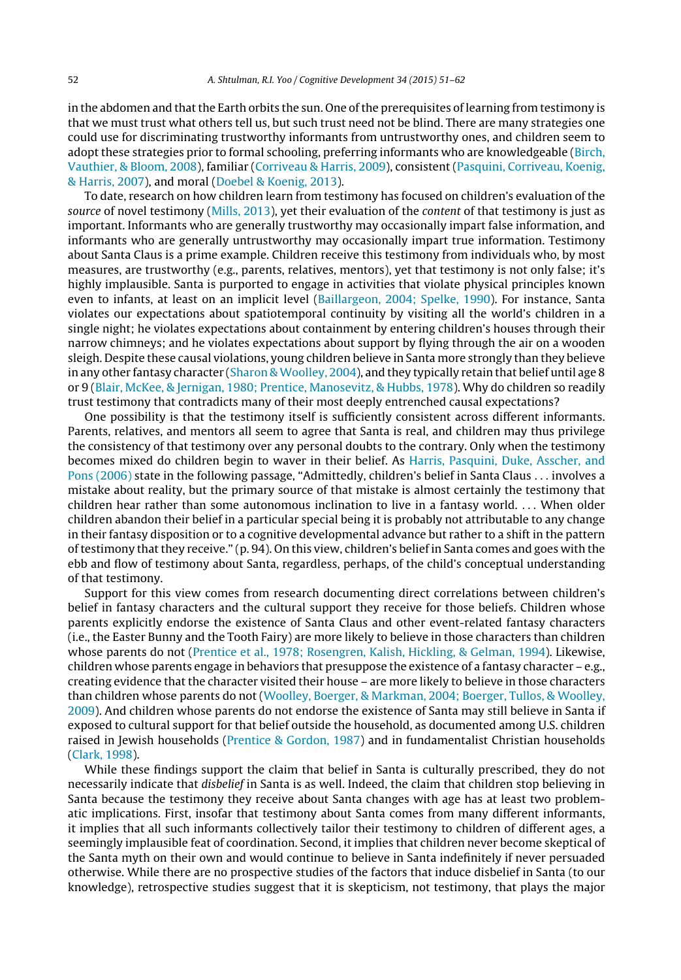in the abdomen and that the Earth orbits the sun. One of the prerequisites of learning from testimony is that we must trust what others tell us, but such trust need not be blind. There are many strategies one could use for discriminating trustworthy informants from untrustworthy ones, and children seem to adopt these strategies prior to formal schooling, preferring informants who are knowledgeable ([Birch,](#page-10-0) [Vauthier,](#page-10-0) [&](#page-10-0) [Bloom,](#page-10-0) [2008\),](#page-10-0) familiar [\(Corriveau](#page-10-0) [&](#page-10-0) [Harris,](#page-10-0) [2009\),](#page-10-0) consistent ([Pasquini,](#page-10-0) [Corriveau,](#page-10-0) [Koenig,](#page-10-0) [&](#page-10-0) [Harris,](#page-10-0) [2007\),](#page-10-0) and moral [\(Doebel](#page-10-0) [&](#page-10-0) [Koenig,](#page-10-0) [2013\).](#page-10-0)

To date, research on how children learn from testimony has focused on children's evaluation of the source of novel testimony [\(Mills,](#page-10-0) [2013\),](#page-10-0) yet their evaluation of the content of that testimony is just as important. Informants who are generally trustworthy may occasionally impart false information, and informants who are generally untrustworthy may occasionally impart true information. Testimony about Santa Claus is a prime example. Children receive this testimony from individuals who, by most measures, are trustworthy (e.g., parents, relatives, mentors), yet that testimony is not only false; it's highly implausible. Santa is purported to engage in activities that violate physical principles known even to infants, at least on an implicit level ([Baillargeon,](#page-10-0) [2004;](#page-10-0) [Spelke,](#page-10-0) [1990\).](#page-10-0) For instance, Santa violates our expectations about spatiotemporal continuity by visiting all the world's children in a single night; he violates expectations about containment by entering children's houses through their narrow chimneys; and he violates expectations about support by flying through the air on a wooden sleigh. Despite these causal violations, young children believe in Santa more strongly than they believe in any other fantasy character [\(Sharon](#page-10-0) & Woolley, [2004\),](#page-10-0) and they typically retain that belief until age 8 or 9 [\(Blair,](#page-10-0) [McKee,](#page-10-0) [&](#page-10-0) [Jernigan,](#page-10-0) [1980;](#page-10-0) [Prentice,](#page-10-0) [Manosevitz,](#page-10-0) [&](#page-10-0) [Hubbs,](#page-10-0) [1978\).](#page-10-0) Why do children so readily trust testimony that contradicts many of their most deeply entrenched causal expectations?

One possibility is that the testimony itself is sufficiently consistent across different informants. Parents, relatives, and mentors all seem to agree that Santa is real, and children may thus privilege the consistency of that testimony over any personal doubts to the contrary. Only when the testimony becomes mixed do children begin to waver in their belief. As [Harris,](#page-10-0) [Pasquini,](#page-10-0) [Duke,](#page-10-0) [Asscher,](#page-10-0) [and](#page-10-0) [Pons](#page-10-0) [\(2006\)](#page-10-0) state in the following passage, "Admittedly, children's belief in Santa Claus . . . involves a mistake about reality, but the primary source of that mistake is almost certainly the testimony that children hear rather than some autonomous inclination to live in a fantasy world. . . . When older children abandon their belief in a particular special being it is probably not attributable to any change in their fantasy disposition or to a cognitive developmental advance but rather to a shift in the pattern oftestimony thatthey receive." (p. 94). On this view, children's belief in Santa comes and goes with the ebb and flow of testimony about Santa, regardless, perhaps, of the child's conceptual understanding of that testimony.

Support for this view comes from research documenting direct correlations between children's belief in fantasy characters and the cultural support they receive for those beliefs. Children whose parents explicitly endorse the existence of Santa Claus and other event-related fantasy characters (i.e., the Easter Bunny and the Tooth Fairy) are more likely to believe in those characters than children whose parents do not ([Prentice](#page-10-0) et [al.,](#page-10-0) [1978;](#page-10-0) [Rosengren,](#page-10-0) [Kalish,](#page-10-0) [Hickling,](#page-10-0) [&](#page-10-0) [Gelman,](#page-10-0) [1994\).](#page-10-0) Likewise, children whose parents engage in behaviors that presuppose the existence of a fantasy character – e.g., creating evidence that the character visited their house – are more likely to believe in those characters than children whose parents do not [\(Woolley,](#page-11-0) [Boerger,](#page-11-0) [&](#page-11-0) [Markman,](#page-11-0) [2004;](#page-11-0) [Boerger,](#page-11-0) [Tullos,](#page-11-0) [&](#page-11-0) [Woolley,](#page-11-0) [2009\).](#page-11-0) And children whose parents do not endorse the existence of Santa may still believe in Santa if exposed to cultural support for that belief outside the household, as documented among U.S. children raised in Jewish households [\(Prentice](#page-10-0) [&](#page-10-0) [Gordon,](#page-10-0) [1987\)](#page-10-0) and in fundamentalist Christian households ([Clark,](#page-10-0) [1998\).](#page-10-0)

While these findings support the claim that belief in Santa is culturally prescribed, they do not necessarily indicate that disbelief in Santa is as well. Indeed, the claim that children stop believing in Santa because the testimony they receive about Santa changes with age has at least two problematic implications. First, insofar that testimony about Santa comes from many different informants, it implies that all such informants collectively tailor their testimony to children of different ages, a seemingly implausible feat of coordination. Second, it implies that children never become skeptical of the Santa myth on their own and would continue to believe in Santa indefinitely if never persuaded otherwise. While there are no prospective studies of the factors that induce disbelief in Santa (to our knowledge), retrospective studies suggest that it is skepticism, not testimony, that plays the major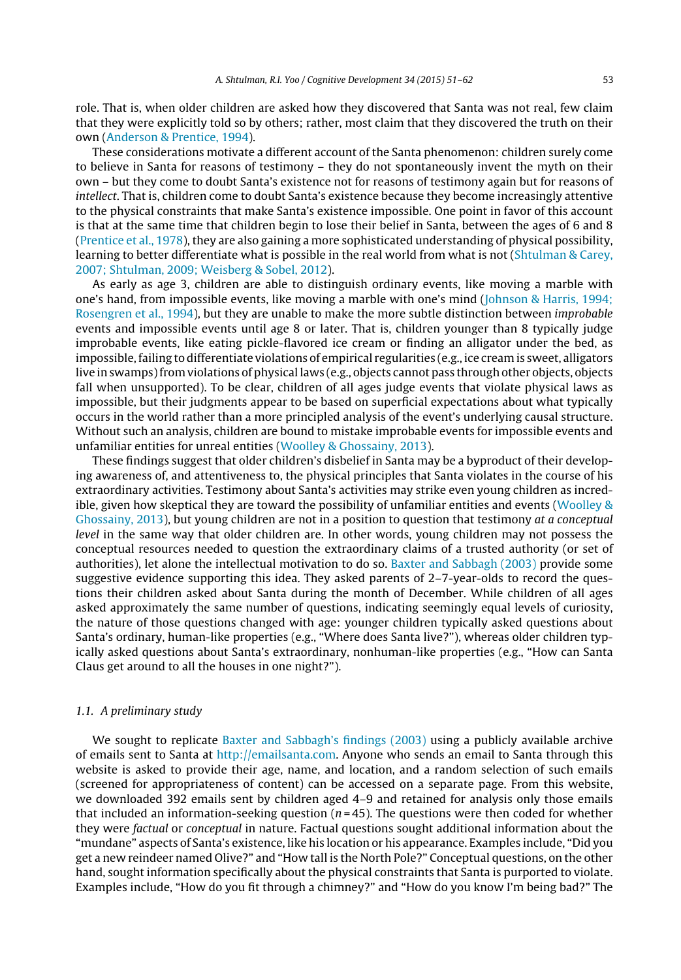role. That is, when older children are asked how they discovered that Santa was not real, few claim that they were explicitly told so by others; rather, most claim that they discovered the truth on their own [\(Anderson](#page-10-0) [&](#page-10-0) [Prentice,](#page-10-0) [1994\).](#page-10-0)

These considerations motivate a different account of the Santa phenomenon: children surely come to believe in Santa for reasons of testimony – they do not spontaneously invent the myth on their own – but they come to doubt Santa's existence not for reasons of testimony again but for reasons of intellect. That is, children come to doubt Santa's existence because they become increasingly attentive to the physical constraints that make Santa's existence impossible. One point in favor of this account is that at the same time that children begin to lose their belief in Santa, between the ages of 6 and 8 [\(Prentice](#page-10-0) et [al.,](#page-10-0) [1978\),](#page-10-0) they are also gaining a more sophisticated understanding of physical possibility, learning to better differentiate what is possible in the real world from what is not ([Shtulman](#page-10-0) [&](#page-10-0) [Carey,](#page-10-0) [2007;](#page-10-0) [Shtulman,](#page-10-0) [2009;](#page-10-0) [Weisberg](#page-10-0) [&](#page-10-0) [Sobel,](#page-10-0) [2012\).](#page-10-0)

As early as age 3, children are able to distinguish ordinary events, like moving a marble with one's hand, from impossible events, like moving a marble with one's mind ([Johnson](#page-10-0) [&](#page-10-0) [Harris,](#page-10-0) [1994;](#page-10-0) [Rosengren](#page-10-0) et [al.,](#page-10-0) [1994\),](#page-10-0) but they are unable to make the more subtle distinction between improbable events and impossible events until age 8 or later. That is, children younger than 8 typically judge improbable events, like eating pickle-flavored ice cream or finding an alligator under the bed, as impossible,failing to differentiate violations of empirical regularities (e.g., ice cream is sweet, alligators live in swamps)fromviolations of physical laws (e.g., objects cannot pass through other objects, objects fall when unsupported). To be clear, children of all ages judge events that violate physical laws as impossible, but their judgments appear to be based on superficial expectations about what typically occurs in the world rather than a more principled analysis of the event's underlying causal structure. Without such an analysis, children are bound to mistake improbable events for impossible events and unfamiliar entities for unreal entities [\(Woolley](#page-11-0) [&](#page-11-0) [Ghossainy,](#page-11-0) [2013\).](#page-11-0)

These findings suggest that older children's disbelief in Santa may be a byproduct of their developing awareness of, and attentiveness to, the physical principles that Santa violates in the course of his extraordinary activities. Testimony about Santa's activities may strike even young children as incredible, given how skeptical they are toward the possibility of unfamiliar entities and events [\(Woolley](#page-11-0) [&](#page-11-0) [Ghossainy,](#page-11-0) [2013\),](#page-11-0) but young children are not in a position to question that testimony at a conceptual level in the same way that older children are. In other words, young children may not possess the conceptual resources needed to question the extraordinary claims of a trusted authority (or set of authorities), let alone the intellectual motivation to do so. [Baxter](#page-10-0) [and](#page-10-0) [Sabbagh](#page-10-0) [\(2003\)](#page-10-0) provide some suggestive evidence supporting this idea. They asked parents of 2–7-year-olds to record the questions their children asked about Santa during the month of December. While children of all ages asked approximately the same number of questions, indicating seemingly equal levels of curiosity, the nature of those questions changed with age: younger children typically asked questions about Santa's ordinary, human-like properties (e.g., "Where does Santa live?"), whereas older children typically asked questions about Santa's extraordinary, nonhuman-like properties (e.g., "How can Santa Claus get around to all the houses in one night?").

# 1.1. A preliminary study

We sought to replicate [Baxter](#page-10-0) [and](#page-10-0) [Sabbagh's](#page-10-0) [findings](#page-10-0) [\(2003\)](#page-10-0) using a publicly available archive of emails sent to Santa at [http://emailsanta.com.](http://emailsanta.com/) Anyone who sends an email to Santa through this website is asked to provide their age, name, and location, and a random selection of such emails (screened for appropriateness of content) can be accessed on a separate page. From this website, we downloaded 392 emails sent by children aged 4–9 and retained for analysis only those emails that included an information-seeking question ( $n = 45$ ). The questions were then coded for whether they were factual or conceptual in nature. Factual questions sought additional information about the "mundane" aspects of Santa's existence, like his location or his appearance. Examples include, "Did you get a new reindeer named Olive?" and "How tall is the North Pole?" Conceptual questions, on the other hand, sought information specifically about the physical constraints that Santa is purported to violate. Examples include, "How do you fit through a chimney?" and "How do you know I'm being bad?" The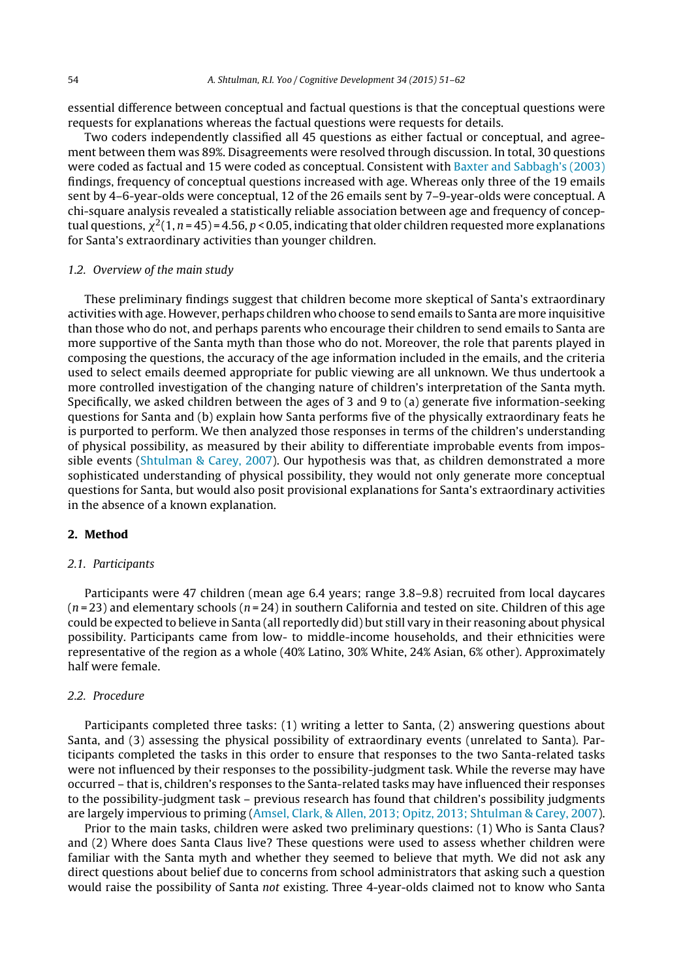essential difference between conceptual and factual questions is that the conceptual questions were requests for explanations whereas the factual questions were requests for details.

Two coders independently classified all 45 questions as either factual or conceptual, and agreement between them was 89%. Disagreements were resolved through discussion. In total, 30 questions were coded as factual and 15 were coded as conceptual. Consistent with [Baxter](#page-10-0) [and](#page-10-0) [Sabbagh's](#page-10-0) [\(2003\)](#page-10-0) findings, frequency of conceptual questions increased with age. Whereas only three of the 19 emails sent by 4–6-year-olds were conceptual, 12 of the 26 emails sent by 7–9-year-olds were conceptual. A chi-square analysis revealed a statistically reliable association between age and frequency of conceptual questions,  $\chi^2(1, n$  = 45) = 4.56, p < 0.05, indicating that older children requested more explanations for Santa's extraordinary activities than younger children.

## 1.2. Overview of the main study

These preliminary findings suggest that children become more skeptical of Santa's extraordinary activities with age. However, perhaps children who choose to send emails to Santa are more inquisitive than those who do not, and perhaps parents who encourage their children to send emails to Santa are more supportive of the Santa myth than those who do not. Moreover, the role that parents played in composing the questions, the accuracy of the age information included in the emails, and the criteria used to select emails deemed appropriate for public viewing are all unknown. We thus undertook a more controlled investigation of the changing nature of children's interpretation of the Santa myth. Specifically, we asked children between the ages of 3 and 9 to (a) generate five information-seeking questions for Santa and (b) explain how Santa performs five of the physically extraordinary feats he is purported to perform. We then analyzed those responses in terms of the children's understanding of physical possibility, as measured by their ability to differentiate improbable events from impossible events ([Shtulman](#page-10-0) [&](#page-10-0) [Carey,](#page-10-0) [2007\).](#page-10-0) Our hypothesis was that, as children demonstrated a more sophisticated understanding of physical possibility, they would not only generate more conceptual questions for Santa, but would also posit provisional explanations for Santa's extraordinary activities in the absence of a known explanation.

# **2. Method**

#### 2.1. Participants

Participants were 47 children (mean age 6.4 years; range 3.8–9.8) recruited from local daycares  $(n=23)$  and elementary schools  $(n=24)$  in southern California and tested on site. Children of this age could be expected to believe in Santa (all reportedly did) but still vary in their reasoning about physical possibility. Participants came from low- to middle-income households, and their ethnicities were representative of the region as a whole (40% Latino, 30% White, 24% Asian, 6% other). Approximately half were female.

#### 2.2. Procedure

Participants completed three tasks: (1) writing a letter to Santa, (2) answering questions about Santa, and (3) assessing the physical possibility of extraordinary events (unrelated to Santa). Participants completed the tasks in this order to ensure that responses to the two Santa-related tasks were not influenced by their responses to the possibility-judgment task. While the reverse may have occurred – that is, children's responses to the Santa-related tasks may have influenced their responses to the possibility-judgment task – previous research has found that children's possibility judgments are largely impervious to priming ([Amsel,](#page-10-0) [Clark,](#page-10-0) [&](#page-10-0) [Allen,](#page-10-0) [2013;](#page-10-0) [Opitz,](#page-10-0) [2013;](#page-10-0) [Shtulman](#page-10-0) [&](#page-10-0) [Carey,](#page-10-0) [2007\).](#page-10-0)

Prior to the main tasks, children were asked two preliminary questions: (1) Who is Santa Claus? and (2) Where does Santa Claus live? These questions were used to assess whether children were familiar with the Santa myth and whether they seemed to believe that myth. We did not ask any direct questions about belief due to concerns from school administrators that asking such a question would raise the possibility of Santa not existing. Three 4-year-olds claimed not to know who Santa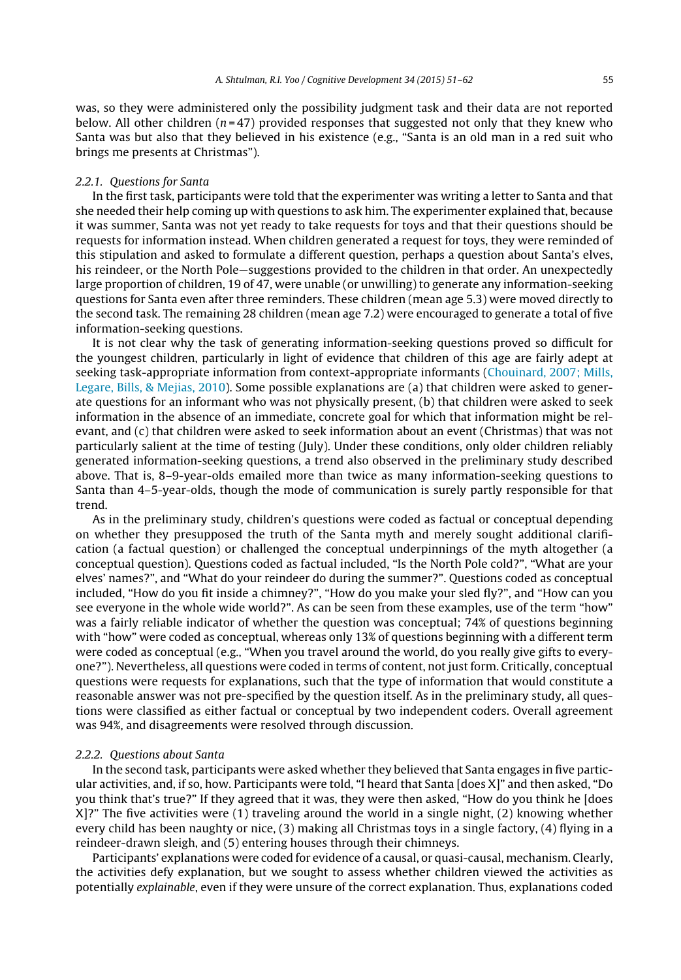was, so they were administered only the possibility judgment task and their data are not reported below. All other children  $(n=47)$  provided responses that suggested not only that they knew who Santa was but also that they believed in his existence (e.g., "Santa is an old man in a red suit who brings me presents at Christmas").

#### 2.2.1. Questions for Santa

In the first task, participants were told that the experimenter was writing a letter to Santa and that she needed their help coming up with questions to ask him. The experimenter explained that, because it was summer, Santa was not yet ready to take requests for toys and that their questions should be requests for information instead. When children generated a request for toys, they were reminded of this stipulation and asked to formulate a different question, perhaps a question about Santa's elves, his reindeer, or the North Pole—suggestions provided to the children in that order. An unexpectedly large proportion of children, 19 of 47, were unable (or unwilling) to generate any information-seeking questions for Santa even after three reminders. These children (mean age 5.3) were moved directly to the second task. The remaining 28 children (mean age 7.2) were encouraged to generate a total of five information-seeking questions.

It is not clear why the task of generating information-seeking questions proved so difficult for the youngest children, particularly in light of evidence that children of this age are fairly adept at seeking task-appropriate information from context-appropriate informants ([Chouinard,](#page-10-0) [2007;](#page-10-0) [Mills,](#page-10-0) [Legare,](#page-10-0) [Bills,](#page-10-0) [&](#page-10-0) [Mejias,](#page-10-0) [2010\).](#page-10-0) Some possible explanations are (a) that children were asked to generate questions for an informant who was not physically present, (b) that children were asked to seek information in the absence of an immediate, concrete goal for which that information might be relevant, and (c) that children were asked to seek information about an event (Christmas) that was not particularly salient at the time of testing (July). Under these conditions, only older children reliably generated information-seeking questions, a trend also observed in the preliminary study described above. That is, 8–9-year-olds emailed more than twice as many information-seeking questions to Santa than 4–5-year-olds, though the mode of communication is surely partly responsible for that trend.

As in the preliminary study, children's questions were coded as factual or conceptual depending on whether they presupposed the truth of the Santa myth and merely sought additional clarification (a factual question) or challenged the conceptual underpinnings of the myth altogether (a conceptual question). Questions coded as factual included, "Is the North Pole cold?", "What are your elves' names?", and "What do your reindeer do during the summer?". Questions coded as conceptual included, "How do you fit inside a chimney?", "How do you make your sled fly?", and "How can you see everyone in the whole wide world?". As can be seen from these examples, use of the term "how" was a fairly reliable indicator of whether the question was conceptual; 74% of questions beginning with "how" were coded as conceptual, whereas only 13% of questions beginning with a different term were coded as conceptual (e.g., "When you travel around the world, do you really give gifts to everyone?"). Nevertheless, all questions were coded in terms of content, not just form. Critically, conceptual questions were requests for explanations, such that the type of information that would constitute a reasonable answer was not pre-specified by the question itself. As in the preliminary study, all questions were classified as either factual or conceptual by two independent coders. Overall agreement was 94%, and disagreements were resolved through discussion.

#### 2.2.2. Questions about Santa

In the second task, participants were asked whether they believed that Santa engages in five particular activities, and, if so, how. Participants were told, "I heard that Santa [does X]" and then asked, "Do you think that's true?" If they agreed that it was, they were then asked, "How do you think he [does X]?" The five activities were (1) traveling around the world in a single night, (2) knowing whether every child has been naughty or nice, (3) making all Christmas toys in a single factory, (4) flying in a reindeer-drawn sleigh, and (5) entering houses through their chimneys.

Participants' explanations were coded for evidence of a causal, or quasi-causal, mechanism. Clearly, the activities defy explanation, but we sought to assess whether children viewed the activities as potentially explainable, even if they were unsure of the correct explanation. Thus, explanations coded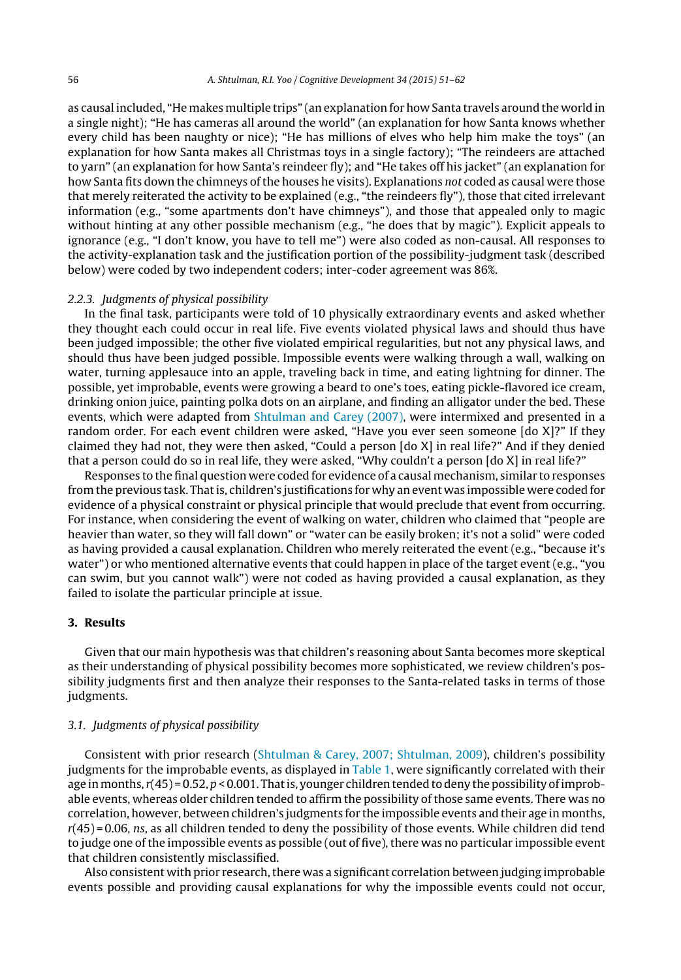as causal included, "He makes multiple trips" (an explanation for how Santa travels around the world in a single night); "He has cameras all around the world" (an explanation for how Santa knows whether every child has been naughty or nice); "He has millions of elves who help him make the toys" (an explanation for how Santa makes all Christmas toys in a single factory); "The reindeers are attached to yarn" (an explanation for how Santa's reindeer fly); and "He takes off his jacket" (an explanation for how Santa fits down the chimneys of the houses he visits). Explanations not coded as causal were those that merely reiterated the activity to be explained (e.g., "the reindeers fly"), those that cited irrelevant information (e.g., "some apartments don't have chimneys"), and those that appealed only to magic without hinting at any other possible mechanism (e.g., "he does that by magic"). Explicit appeals to ignorance (e.g., "I don't know, you have to tell me") were also coded as non-causal. All responses to the activity-explanation task and the justification portion of the possibility-judgment task (described below) were coded by two independent coders; inter-coder agreement was 86%.

#### 2.2.3. Judgments of physical possibility

In the final task, participants were told of 10 physically extraordinary events and asked whether they thought each could occur in real life. Five events violated physical laws and should thus have been judged impossible; the other five violated empirical regularities, but not any physical laws, and should thus have been judged possible. Impossible events were walking through a wall, walking on water, turning applesauce into an apple, traveling back in time, and eating lightning for dinner. The possible, yet improbable, events were growing a beard to one's toes, eating pickle-flavored ice cream, drinking onion juice, painting polka dots on an airplane, and finding an alligator under the bed. These events, which were adapted from [Shtulman](#page-10-0) [and](#page-10-0) [Carey](#page-10-0) [\(2007\),](#page-10-0) were intermixed and presented in a random order. For each event children were asked, "Have you ever seen someone [do X]?" If they claimed they had not, they were then asked, "Could a person [do X] in real life?" And if they denied that a person could do so in real life, they were asked, "Why couldn't a person [do X] in real life?"

Responses to the final question were coded for evidence of a causal mechanism, similar to responses from the previous task. That is, children's justifications for why an event was impossible were coded for evidence of a physical constraint or physical principle that would preclude that event from occurring. For instance, when considering the event of walking on water, children who claimed that "people are heavier than water, so they will fall down" or "water can be easily broken; it's not a solid" were coded as having provided a causal explanation. Children who merely reiterated the event (e.g., "because it's water") or who mentioned alternative events that could happen in place of the target event (e.g., "you can swim, but you cannot walk") were not coded as having provided a causal explanation, as they failed to isolate the particular principle at issue.

# **3. Results**

Given that our main hypothesis was that children's reasoning about Santa becomes more skeptical as their understanding of physical possibility becomes more sophisticated, we review children's possibility judgments first and then analyze their responses to the Santa-related tasks in terms of those judgments.

## 3.1. Judgments of physical possibility

Consistent with prior research [\(Shtulman](#page-10-0) [&](#page-10-0) [Carey,](#page-10-0) [2007;](#page-10-0) [Shtulman,](#page-10-0) [2009\),](#page-10-0) children's possibility judgments for the improbable events, as displayed in [Table](#page-6-0) 1, were significantly correlated with their age in months,  $r(45) = 0.52$ ,  $p < 0.001$ . That is, younger children tended to deny the possibility of improbable events, whereas older children tended to affirm the possibility of those same events. There was no correlation, however, between children's judgments for the impossible events and their age in months,  $r(45) = 0.06$ , ns, as all children tended to deny the possibility of those events. While children did tend to judge one of the impossible events as possible (out of five), there was no particular impossible event that children consistently misclassified.

Also consistent with prior research, there was a significant correlation between judging improbable events possible and providing causal explanations for why the impossible events could not occur,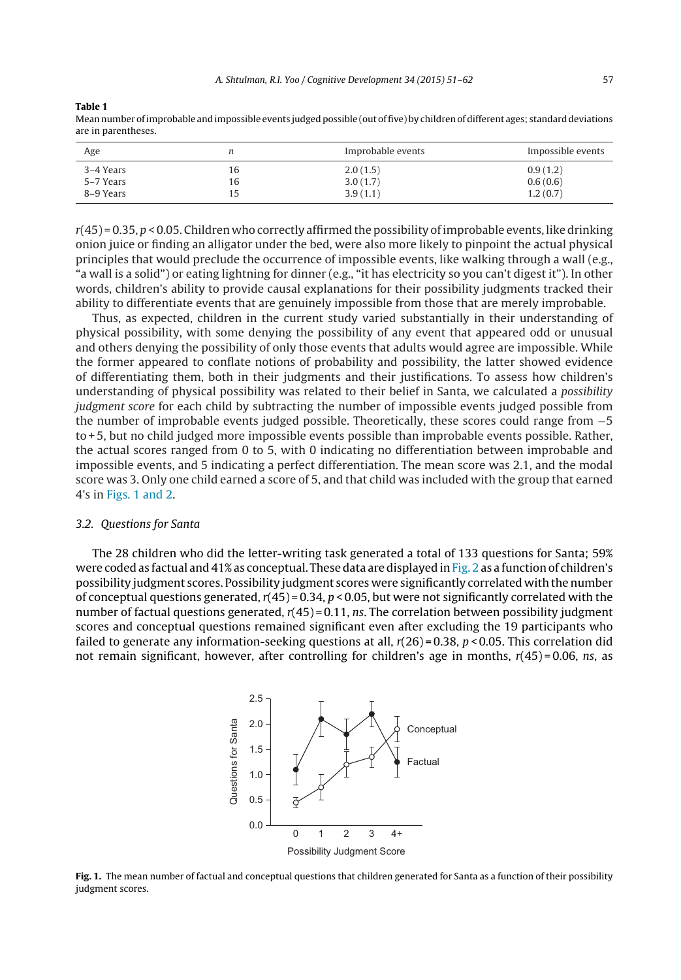<span id="page-6-0"></span>**Table 1**

| Age       |    | Improbable events | Impossible events |
|-----------|----|-------------------|-------------------|
| 3–4 Years | 16 | 2.0(1.5)          | 0.9(1.2)          |
| 5–7 Years | 16 | 3.0(1.7)          | 0.6(0.6)          |
| 8–9 Years | 15 | 3.9(1.1)          | 1.2(0.7)          |

Mean number of improbable and impossible events judged possible (out of five) by children of different ages; standard deviations are in parentheses.

 $r(45) = 0.35, p < 0.05$ . Children who correctly affirmed the possibility of improbable events, like drinking onion juice or finding an alligator under the bed, were also more likely to pinpoint the actual physical principles that would preclude the occurrence of impossible events, like walking through a wall (e.g., "a wall is a solid") or eating lightning for dinner (e.g., "it has electricity so you can't digest it"). In other words, children's ability to provide causal explanations for their possibility judgments tracked their ability to differentiate events that are genuinely impossible from those that are merely improbable.

Thus, as expected, children in the current study varied substantially in their understanding of physical possibility, with some denying the possibility of any event that appeared odd or unusual and others denying the possibility of only those events that adults would agree are impossible. While the former appeared to conflate notions of probability and possibility, the latter showed evidence of differentiating them, both in their judgments and their justifications. To assess how children's understanding of physical possibility was related to their belief in Santa, we calculated a possibility judgment score for each child by subtracting the number of impossible events judged possible from the number of improbable events judged possible. Theoretically, these scores could range from −5 to + 5, but no child judged more impossible events possible than improbable events possible. Rather, the actual scores ranged from 0 to 5, with 0 indicating no differentiation between improbable and impossible events, and 5 indicating a perfect differentiation. The mean score was 2.1, and the modal score was 3. Only one child earned a score of 5, and that child was included with the group that earned 4's in Figs. 1 and 2.

#### 3.2. Questions for Santa

The 28 children who did the letter-writing task generated a total of 133 questions for Santa; 59% were coded as factual and 41% as conceptual. These data are displayed in [Fig.](#page-7-0) 2 as a function of children's possibility judgment scores. Possibility judgment scores were significantly correlated with the number of conceptual questions generated,  $r(45) = 0.34$ ,  $p < 0.05$ , but were not significantly correlated with the number of factual questions generated,  $r(45) = 0.11$ , ns. The correlation between possibility judgment scores and conceptual questions remained significant even after excluding the 19 participants who failed to generate any information-seeking questions at all,  $r(26) = 0.38$ ,  $p < 0.05$ . This correlation did not remain significant, however, after controlling for children's age in months,  $r(45) = 0.06$ , ns, as



**Fig. 1.** The mean number of factual and conceptual questions that children generated for Santa as a function of their possibility judgment scores.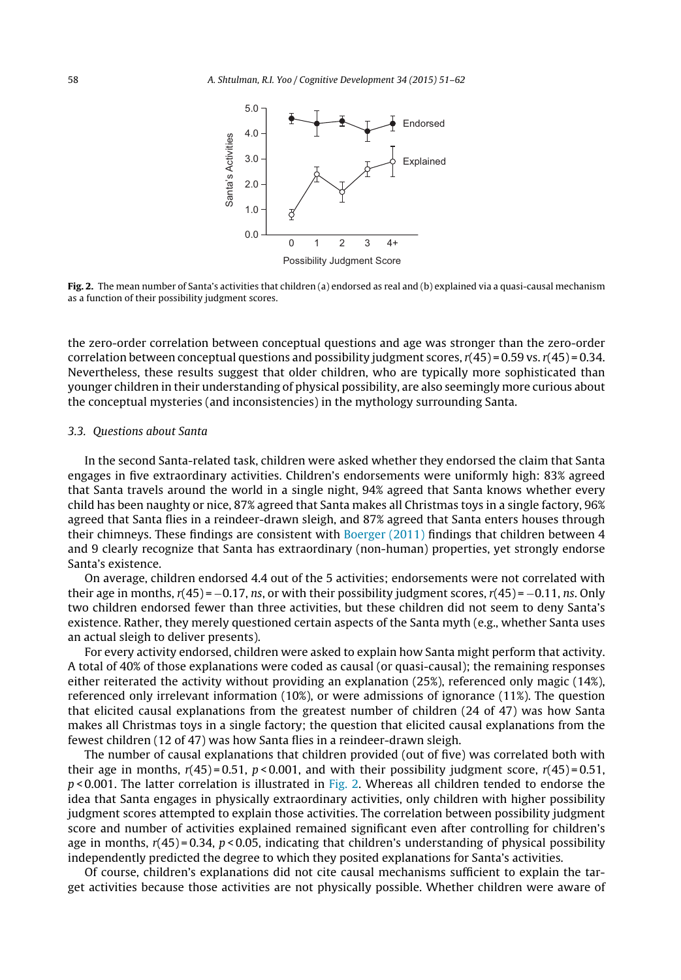<span id="page-7-0"></span>

**Fig. 2.** The mean number of Santa's activities that children (a) endorsed as real and (b) explained via a quasi-causal mechanism as a function of their possibility judgment scores.

the zero-order correlation between conceptual questions and age was stronger than the zero-order correlation between conceptual questions and possibility judgment scores,  $r(45) = 0.59$  vs.  $r(45) = 0.34$ . Nevertheless, these results suggest that older children, who are typically more sophisticated than younger children in their understanding of physical possibility, are also seemingly more curious about the conceptual mysteries (and inconsistencies) in the mythology surrounding Santa.

#### 3.3. Questions about Santa

In the second Santa-related task, children were asked whether they endorsed the claim that Santa engages in five extraordinary activities. Children's endorsements were uniformly high: 83% agreed that Santa travels around the world in a single night, 94% agreed that Santa knows whether every child has been naughty or nice, 87% agreed that Santa makes all Christmas toys in a single factory, 96% agreed that Santa flies in a reindeer-drawn sleigh, and 87% agreed that Santa enters houses through their chimneys. These findings are consistent with [Boerger](#page-10-0) [\(2011\)](#page-10-0) findings that children between 4 and 9 clearly recognize that Santa has extraordinary (non-human) properties, yet strongly endorse Santa's existence.

On average, children endorsed 4.4 out of the 5 activities; endorsements were not correlated with their age in months,  $r(45) = -0.17$ , ns, or with their possibility judgment scores,  $r(45) = -0.11$ , ns. Only two children endorsed fewer than three activities, but these children did not seem to deny Santa's existence. Rather, they merely questioned certain aspects of the Santa myth (e.g., whether Santa uses an actual sleigh to deliver presents).

For every activity endorsed, children were asked to explain how Santa might perform that activity. A total of 40% of those explanations were coded as causal (or quasi-causal); the remaining responses either reiterated the activity without providing an explanation (25%), referenced only magic (14%), referenced only irrelevant information (10%), or were admissions of ignorance (11%). The question that elicited causal explanations from the greatest number of children (24 of 47) was how Santa makes all Christmas toys in a single factory; the question that elicited causal explanations from the fewest children (12 of 47) was how Santa flies in a reindeer-drawn sleigh.

The number of causal explanations that children provided (out of five) was correlated both with their age in months,  $r(45) = 0.51$ ,  $p < 0.001$ , and with their possibility judgment score,  $r(45) = 0.51$ ,  $p$  < 0.001. The latter correlation is illustrated in Fig. 2. Whereas all children tended to endorse the idea that Santa engages in physically extraordinary activities, only children with higher possibility judgment scores attempted to explain those activities. The correlation between possibility judgment score and number of activities explained remained significant even after controlling for children's age in months,  $r(45) = 0.34$ ,  $p < 0.05$ , indicating that children's understanding of physical possibility independently predicted the degree to which they posited explanations for Santa's activities.

Of course, children's explanations did not cite causal mechanisms sufficient to explain the target activities because those activities are not physically possible. Whether children were aware of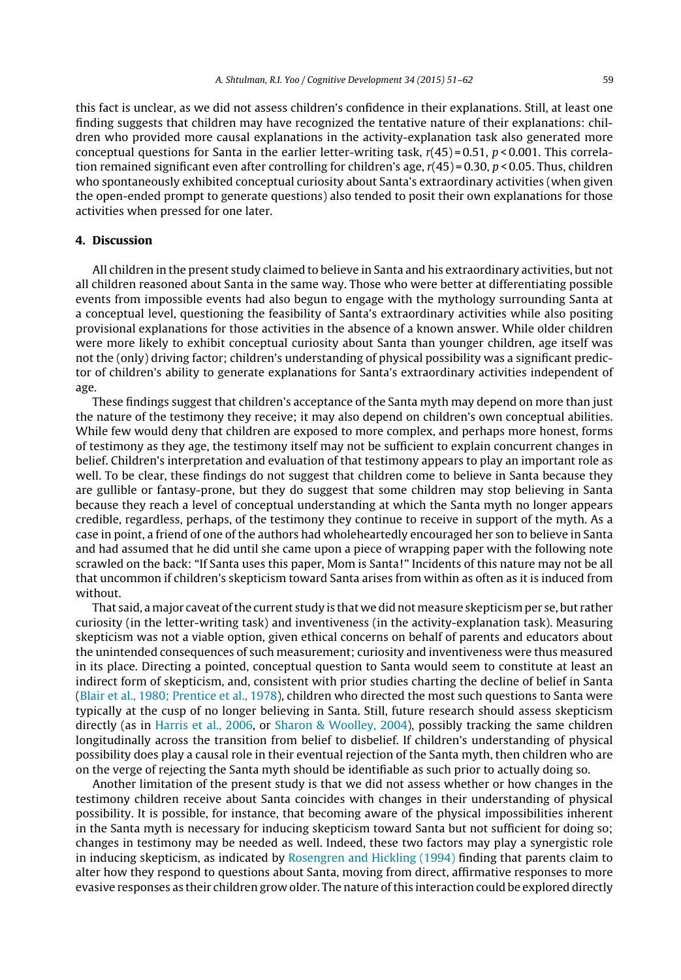this fact is unclear, as we did not assess children's confidence in their explanations. Still, at least one finding suggests that children may have recognized the tentative nature of their explanations: children who provided more causal explanations in the activity-explanation task also generated more conceptual questions for Santa in the earlier letter-writing task,  $r(45) = 0.51$ ,  $p < 0.001$ . This correlation remained significant even after controlling for children's age,  $r(45) = 0.30, p < 0.05$ . Thus, children who spontaneously exhibited conceptual curiosity about Santa's extraordinary activities (when given the open-ended prompt to generate questions) also tended to posit their own explanations for those activities when pressed for one later.

### **4. Discussion**

All children in the present study claimed to believe in Santa and his extraordinary activities, but not all children reasoned about Santa in the same way. Those who were better at differentiating possible events from impossible events had also begun to engage with the mythology surrounding Santa at a conceptual level, questioning the feasibility of Santa's extraordinary activities while also positing provisional explanations for those activities in the absence of a known answer. While older children were more likely to exhibit conceptual curiosity about Santa than younger children, age itself was not the (only) driving factor; children's understanding of physical possibility was a significant predictor of children's ability to generate explanations for Santa's extraordinary activities independent of age.

These findings suggest that children's acceptance of the Santa myth may depend on more than just the nature of the testimony they receive; it may also depend on children's own conceptual abilities. While few would deny that children are exposed to more complex, and perhaps more honest, forms of testimony as they age, the testimony itself may not be sufficient to explain concurrent changes in belief. Children's interpretation and evaluation of that testimony appears to play an important role as well. To be clear, these findings do not suggest that children come to believe in Santa because they are gullible or fantasy-prone, but they do suggest that some children may stop believing in Santa because they reach a level of conceptual understanding at which the Santa myth no longer appears credible, regardless, perhaps, of the testimony they continue to receive in support of the myth. As a case in point, a friend of one of the authors had wholeheartedly encouraged her son to believe in Santa and had assumed that he did until she came upon a piece of wrapping paper with the following note scrawled on the back: "If Santa uses this paper, Mom is Santa!" Incidents of this nature may not be all that uncommon if children's skepticism toward Santa arises from within as often as it is induced from without.

That said, a major caveat of the current study is that we did not measure skepticism per se, but rather curiosity (in the letter-writing task) and inventiveness (in the activity-explanation task). Measuring skepticism was not a viable option, given ethical concerns on behalf of parents and educators about the unintended consequences of such measurement; curiosity and inventiveness were thus measured in its place. Directing a pointed, conceptual question to Santa would seem to constitute at least an indirect form of skepticism, and, consistent with prior studies charting the decline of belief in Santa [\(Blair](#page-10-0) et [al.,](#page-10-0) [1980;](#page-10-0) [Prentice](#page-10-0) et [al.,](#page-10-0) [1978\),](#page-10-0) children who directed the most such questions to Santa were typically at the cusp of no longer believing in Santa. Still, future research should assess skepticism directly (as in [Harris](#page-10-0) et [al.,](#page-10-0) [2006,](#page-10-0) or [Sharon](#page-10-0) [&](#page-10-0) [Woolley,](#page-10-0) [2004\),](#page-10-0) possibly tracking the same children longitudinally across the transition from belief to disbelief. If children's understanding of physical possibility does play a causal role in their eventual rejection of the Santa myth, then children who are on the verge of rejecting the Santa myth should be identifiable as such prior to actually doing so.

Another limitation of the present study is that we did not assess whether or how changes in the testimony children receive about Santa coincides with changes in their understanding of physical possibility. It is possible, for instance, that becoming aware of the physical impossibilities inherent in the Santa myth is necessary for inducing skepticism toward Santa but not sufficient for doing so; changes in testimony may be needed as well. Indeed, these two factors may play a synergistic role in inducing skepticism, as indicated by [Rosengren](#page-10-0) [and](#page-10-0) [Hickling](#page-10-0) [\(1994\)](#page-10-0) finding that parents claim to alter how they respond to questions about Santa, moving from direct, affirmative responses to more evasive responses as their children grow older. The nature ofthis interaction could be explored directly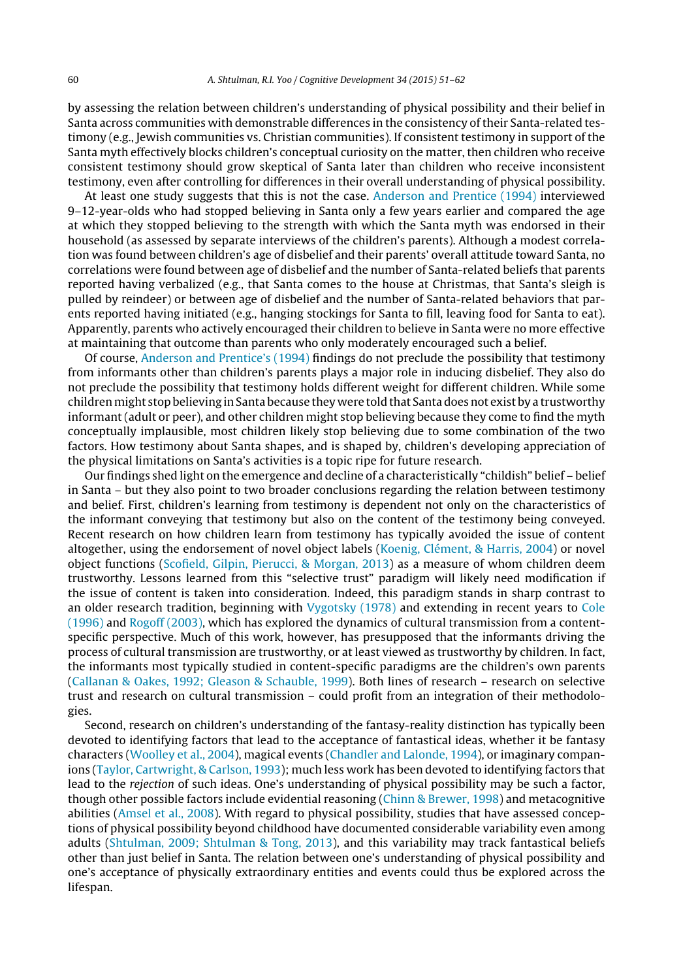by assessing the relation between children's understanding of physical possibility and their belief in Santa across communities with demonstrable differences in the consistency of their Santa-related testimony (e.g., Jewish communities vs. Christian communities). If consistent testimony in support of the Santa myth effectively blocks children's conceptual curiosity on the matter, then children who receive consistent testimony should grow skeptical of Santa later than children who receive inconsistent testimony, even after controlling for differences in their overall understanding of physical possibility.

At least one study suggests that this is not the case. [Anderson](#page-10-0) [and](#page-10-0) [Prentice](#page-10-0) [\(1994\)](#page-10-0) interviewed 9–12-year-olds who had stopped believing in Santa only a few years earlier and compared the age at which they stopped believing to the strength with which the Santa myth was endorsed in their household (as assessed by separate interviews of the children's parents). Although a modest correlation was found between children's age of disbelief and their parents' overall attitude toward Santa, no correlations were found between age of disbelief and the number of Santa-related beliefs that parents reported having verbalized (e.g., that Santa comes to the house at Christmas, that Santa's sleigh is pulled by reindeer) or between age of disbelief and the number of Santa-related behaviors that parents reported having initiated (e.g., hanging stockings for Santa to fill, leaving food for Santa to eat). Apparently, parents who actively encouraged their children to believe in Santa were no more effective at maintaining that outcome than parents who only moderately encouraged such a belief.

Of course, [Anderson](#page-10-0) [and](#page-10-0) [Prentice's](#page-10-0) [\(1994\)](#page-10-0) findings do not preclude the possibility that testimony from informants other than children's parents plays a major role in inducing disbelief. They also do not preclude the possibility that testimony holds different weight for different children. While some children might stop believing in Santa because they were told that Santa does not exist by a trustworthy informant (adult or peer), and other children might stop believing because they come to find the myth conceptually implausible, most children likely stop believing due to some combination of the two factors. How testimony about Santa shapes, and is shaped by, children's developing appreciation of the physical limitations on Santa's activities is a topic ripe for future research.

Our findings shed light on the emergence and decline of a characteristically "childish" belief – belief in Santa – but they also point to two broader conclusions regarding the relation between testimony and belief. First, children's learning from testimony is dependent not only on the characteristics of the informant conveying that testimony but also on the content of the testimony being conveyed. Recent research on how children learn from testimony has typically avoided the issue of content altogether, using the endorsement of novel object labels [\(Koenig,](#page-10-0) [Clément,](#page-10-0) [&](#page-10-0) [Harris,](#page-10-0) [2004\)](#page-10-0) or novel object functions [\(Scofield,](#page-10-0) [Gilpin,](#page-10-0) [Pierucci,](#page-10-0) [&](#page-10-0) [Morgan,](#page-10-0) [2013\)](#page-10-0) as a measure of whom children deem trustworthy. Lessons learned from this "selective trust" paradigm will likely need modification if the issue of content is taken into consideration. Indeed, this paradigm stands in sharp contrast to an older research tradition, beginning with [Vygotsky](#page-11-0) [\(1978\)](#page-11-0) and extending in recent years to [Cole](#page-10-0) [\(1996\)](#page-10-0) and [Rogoff](#page-10-0) [\(2003\),](#page-10-0) which has explored the dynamics of cultural transmission from a contentspecific perspective. Much of this work, however, has presupposed that the informants driving the process of cultural transmission are trustworthy, or at least viewed as trustworthy by children. In fact, the informants most typically studied in content-specific paradigms are the children's own parents ([Callanan](#page-10-0) [&](#page-10-0) [Oakes,](#page-10-0) [1992;](#page-10-0) [Gleason](#page-10-0) [&](#page-10-0) [Schauble,](#page-10-0) [1999\).](#page-10-0) Both lines of research – research on selective trust and research on cultural transmission – could profit from an integration of their methodologies.

Second, research on children's understanding of the fantasy-reality distinction has typically been devoted to identifying factors that lead to the acceptance of fantastical ideas, whether it be fantasy characters [\(Woolley](#page-11-0) et [al.,](#page-11-0) [2004\),](#page-11-0) magical events [\(Chandler](#page-10-0) [and](#page-10-0) [Lalonde,](#page-10-0) [1994\),](#page-10-0) or imaginary companions [\(Taylor,](#page-10-0) [Cartwright,](#page-10-0) [&](#page-10-0) [Carlson,](#page-10-0) [1993\);](#page-10-0) much less work has been devoted to identifying factors that lead to the rejection of such ideas. One's understanding of physical possibility may be such a factor, though other possible factors include evidential reasoning [\(Chinn](#page-10-0) [&](#page-10-0) [Brewer,](#page-10-0) [1998\)](#page-10-0) and metacognitive abilities ([Amsel](#page-10-0) et [al.,](#page-10-0) [2008\).](#page-10-0) With regard to physical possibility, studies that have assessed conceptions of physical possibility beyond childhood have documented considerable variability even among adults [\(Shtulman,](#page-10-0) [2009;](#page-10-0) [Shtulman](#page-10-0) [&](#page-10-0) [Tong,](#page-10-0) [2013\),](#page-10-0) and this variability may track fantastical beliefs other than just belief in Santa. The relation between one's understanding of physical possibility and one's acceptance of physically extraordinary entities and events could thus be explored across the lifespan.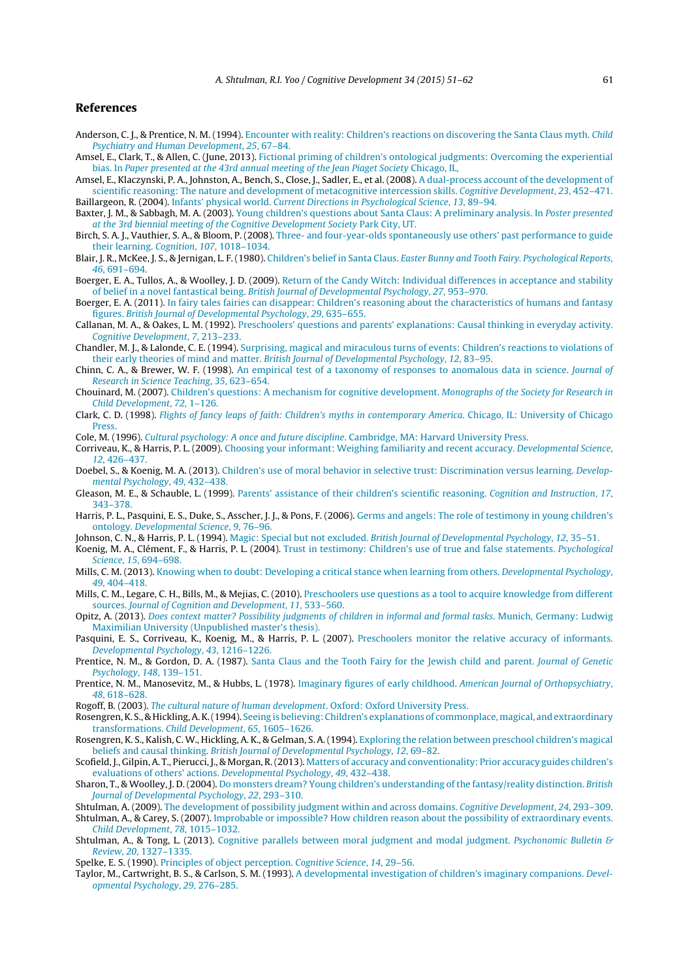#### <span id="page-10-0"></span>**References**

- Anderson, C. J., & Prentice, N. M. (1994). [Encounter](http://refhub.elsevier.com/S0885-2014(14)00072-0/sbref0005) [with](http://refhub.elsevier.com/S0885-2014(14)00072-0/sbref0005) [reality:](http://refhub.elsevier.com/S0885-2014(14)00072-0/sbref0005) [Children's](http://refhub.elsevier.com/S0885-2014(14)00072-0/sbref0005) [reactions](http://refhub.elsevier.com/S0885-2014(14)00072-0/sbref0005) [on](http://refhub.elsevier.com/S0885-2014(14)00072-0/sbref0005) [discovering](http://refhub.elsevier.com/S0885-2014(14)00072-0/sbref0005) [the](http://refhub.elsevier.com/S0885-2014(14)00072-0/sbref0005) [Santa](http://refhub.elsevier.com/S0885-2014(14)00072-0/sbref0005) [Claus](http://refhub.elsevier.com/S0885-2014(14)00072-0/sbref0005) [myth.](http://refhub.elsevier.com/S0885-2014(14)00072-0/sbref0005) [Child](http://refhub.elsevier.com/S0885-2014(14)00072-0/sbref0005) [Psychiatry](http://refhub.elsevier.com/S0885-2014(14)00072-0/sbref0005) [and](http://refhub.elsevier.com/S0885-2014(14)00072-0/sbref0005) [Human](http://refhub.elsevier.com/S0885-2014(14)00072-0/sbref0005) [Development](http://refhub.elsevier.com/S0885-2014(14)00072-0/sbref0005)[,](http://refhub.elsevier.com/S0885-2014(14)00072-0/sbref0005) [25](http://refhub.elsevier.com/S0885-2014(14)00072-0/sbref0005)[,](http://refhub.elsevier.com/S0885-2014(14)00072-0/sbref0005) [67–84.](http://refhub.elsevier.com/S0885-2014(14)00072-0/sbref0005)
- Amsel, E., Clark, T., & Allen, C. (June, 2013). [Fictional](http://refhub.elsevier.com/S0885-2014(14)00072-0/sbref0010) [priming](http://refhub.elsevier.com/S0885-2014(14)00072-0/sbref0010) [of](http://refhub.elsevier.com/S0885-2014(14)00072-0/sbref0010) [children's](http://refhub.elsevier.com/S0885-2014(14)00072-0/sbref0010) [ontological](http://refhub.elsevier.com/S0885-2014(14)00072-0/sbref0010) [judgments:](http://refhub.elsevier.com/S0885-2014(14)00072-0/sbref0010) [Overcoming](http://refhub.elsevier.com/S0885-2014(14)00072-0/sbref0010) [the](http://refhub.elsevier.com/S0885-2014(14)00072-0/sbref0010) [experiential](http://refhub.elsevier.com/S0885-2014(14)00072-0/sbref0010) [bias.](http://refhub.elsevier.com/S0885-2014(14)00072-0/sbref0010) [In](http://refhub.elsevier.com/S0885-2014(14)00072-0/sbref0010) [Paper](http://refhub.elsevier.com/S0885-2014(14)00072-0/sbref0010) [presented](http://refhub.elsevier.com/S0885-2014(14)00072-0/sbref0010) [at](http://refhub.elsevier.com/S0885-2014(14)00072-0/sbref0010) [the](http://refhub.elsevier.com/S0885-2014(14)00072-0/sbref0010) [43rd](http://refhub.elsevier.com/S0885-2014(14)00072-0/sbref0010) [annual](http://refhub.elsevier.com/S0885-2014(14)00072-0/sbref0010) [meeting](http://refhub.elsevier.com/S0885-2014(14)00072-0/sbref0010) [of](http://refhub.elsevier.com/S0885-2014(14)00072-0/sbref0010) [the](http://refhub.elsevier.com/S0885-2014(14)00072-0/sbref0010) [Jean](http://refhub.elsevier.com/S0885-2014(14)00072-0/sbref0010) [Piaget](http://refhub.elsevier.com/S0885-2014(14)00072-0/sbref0010) [Society](http://refhub.elsevier.com/S0885-2014(14)00072-0/sbref0010) [Chicago,](http://refhub.elsevier.com/S0885-2014(14)00072-0/sbref0010) [IL,](http://refhub.elsevier.com/S0885-2014(14)00072-0/sbref0010)
- Amsel, E., Klaczynski, P. A., Johnston, A., Bench, S., Close, J., Sadler, E., et al. (2008). [A](http://refhub.elsevier.com/S0885-2014(14)00072-0/sbref0015) [dual-process](http://refhub.elsevier.com/S0885-2014(14)00072-0/sbref0015) [account](http://refhub.elsevier.com/S0885-2014(14)00072-0/sbref0015) [of](http://refhub.elsevier.com/S0885-2014(14)00072-0/sbref0015) [the](http://refhub.elsevier.com/S0885-2014(14)00072-0/sbref0015) [development](http://refhub.elsevier.com/S0885-2014(14)00072-0/sbref0015) [of](http://refhub.elsevier.com/S0885-2014(14)00072-0/sbref0015) [scientific](http://refhub.elsevier.com/S0885-2014(14)00072-0/sbref0015) [reasoning:](http://refhub.elsevier.com/S0885-2014(14)00072-0/sbref0015) [The](http://refhub.elsevier.com/S0885-2014(14)00072-0/sbref0015) [nature](http://refhub.elsevier.com/S0885-2014(14)00072-0/sbref0015) [and](http://refhub.elsevier.com/S0885-2014(14)00072-0/sbref0015) [development](http://refhub.elsevier.com/S0885-2014(14)00072-0/sbref0015) [of](http://refhub.elsevier.com/S0885-2014(14)00072-0/sbref0015) [metacognitive](http://refhub.elsevier.com/S0885-2014(14)00072-0/sbref0015) [intercession](http://refhub.elsevier.com/S0885-2014(14)00072-0/sbref0015) [skills.](http://refhub.elsevier.com/S0885-2014(14)00072-0/sbref0015) [Cognitive](http://refhub.elsevier.com/S0885-2014(14)00072-0/sbref0015) [Development](http://refhub.elsevier.com/S0885-2014(14)00072-0/sbref0015)[,](http://refhub.elsevier.com/S0885-2014(14)00072-0/sbref0015) [23](http://refhub.elsevier.com/S0885-2014(14)00072-0/sbref0015)[,](http://refhub.elsevier.com/S0885-2014(14)00072-0/sbref0015) [452–471.](http://refhub.elsevier.com/S0885-2014(14)00072-0/sbref0015) Baillargeon, R. (2004). [Infants'](http://refhub.elsevier.com/S0885-2014(14)00072-0/sbref0020) [physical](http://refhub.elsevier.com/S0885-2014(14)00072-0/sbref0020) [world.](http://refhub.elsevier.com/S0885-2014(14)00072-0/sbref0020) [Current](http://refhub.elsevier.com/S0885-2014(14)00072-0/sbref0020) [Directions](http://refhub.elsevier.com/S0885-2014(14)00072-0/sbref0020) [in](http://refhub.elsevier.com/S0885-2014(14)00072-0/sbref0020) [Psychological](http://refhub.elsevier.com/S0885-2014(14)00072-0/sbref0020) [Science](http://refhub.elsevier.com/S0885-2014(14)00072-0/sbref0020)[,](http://refhub.elsevier.com/S0885-2014(14)00072-0/sbref0020) [13](http://refhub.elsevier.com/S0885-2014(14)00072-0/sbref0020)[,](http://refhub.elsevier.com/S0885-2014(14)00072-0/sbref0020) [89–94.](http://refhub.elsevier.com/S0885-2014(14)00072-0/sbref0020)
- Baxter, J. M., & Sabbagh, M. A. (2003). [Young](http://refhub.elsevier.com/S0885-2014(14)00072-0/sbref0025) [children's](http://refhub.elsevier.com/S0885-2014(14)00072-0/sbref0025) [questions](http://refhub.elsevier.com/S0885-2014(14)00072-0/sbref0025) [about](http://refhub.elsevier.com/S0885-2014(14)00072-0/sbref0025) [Santa](http://refhub.elsevier.com/S0885-2014(14)00072-0/sbref0025) [Claus:](http://refhub.elsevier.com/S0885-2014(14)00072-0/sbref0025) [A](http://refhub.elsevier.com/S0885-2014(14)00072-0/sbref0025) [preliminary](http://refhub.elsevier.com/S0885-2014(14)00072-0/sbref0025) [analysis.](http://refhub.elsevier.com/S0885-2014(14)00072-0/sbref0025) [In](http://refhub.elsevier.com/S0885-2014(14)00072-0/sbref0025) [Poster](http://refhub.elsevier.com/S0885-2014(14)00072-0/sbref0025) [presented](http://refhub.elsevier.com/S0885-2014(14)00072-0/sbref0025) [at](http://refhub.elsevier.com/S0885-2014(14)00072-0/sbref0025) [the](http://refhub.elsevier.com/S0885-2014(14)00072-0/sbref0025) [3rd](http://refhub.elsevier.com/S0885-2014(14)00072-0/sbref0025) [biennial](http://refhub.elsevier.com/S0885-2014(14)00072-0/sbref0025) [meeting](http://refhub.elsevier.com/S0885-2014(14)00072-0/sbref0025) [of](http://refhub.elsevier.com/S0885-2014(14)00072-0/sbref0025) [the](http://refhub.elsevier.com/S0885-2014(14)00072-0/sbref0025) [Cognitive](http://refhub.elsevier.com/S0885-2014(14)00072-0/sbref0025) [Development](http://refhub.elsevier.com/S0885-2014(14)00072-0/sbref0025) [Society](http://refhub.elsevier.com/S0885-2014(14)00072-0/sbref0025) [Park](http://refhub.elsevier.com/S0885-2014(14)00072-0/sbref0025) [City,](http://refhub.elsevier.com/S0885-2014(14)00072-0/sbref0025) [UT.](http://refhub.elsevier.com/S0885-2014(14)00072-0/sbref0025)
- Birch, S. A. J., Vauthier, S. A., & Bloom, P. (2008). [Three-](http://refhub.elsevier.com/S0885-2014(14)00072-0/sbref0030) [and](http://refhub.elsevier.com/S0885-2014(14)00072-0/sbref0030) [four-year-olds](http://refhub.elsevier.com/S0885-2014(14)00072-0/sbref0030) [spontaneously](http://refhub.elsevier.com/S0885-2014(14)00072-0/sbref0030) [use](http://refhub.elsevier.com/S0885-2014(14)00072-0/sbref0030) [others'](http://refhub.elsevier.com/S0885-2014(14)00072-0/sbref0030) [past](http://refhub.elsevier.com/S0885-2014(14)00072-0/sbref0030) [performance](http://refhub.elsevier.com/S0885-2014(14)00072-0/sbref0030) [to](http://refhub.elsevier.com/S0885-2014(14)00072-0/sbref0030) [guide](http://refhub.elsevier.com/S0885-2014(14)00072-0/sbref0030) [their](http://refhub.elsevier.com/S0885-2014(14)00072-0/sbref0030) [learning.](http://refhub.elsevier.com/S0885-2014(14)00072-0/sbref0030) [Cognition](http://refhub.elsevier.com/S0885-2014(14)00072-0/sbref0030), [107](http://refhub.elsevier.com/S0885-2014(14)00072-0/sbref0030)[,](http://refhub.elsevier.com/S0885-2014(14)00072-0/sbref0030) [1018–1034.](http://refhub.elsevier.com/S0885-2014(14)00072-0/sbref0030)
- Blair, J. R., McKee, J. S., & Jernigan, L. F. (1980). [Children's](http://refhub.elsevier.com/S0885-2014(14)00072-0/sbref0035) [belief](http://refhub.elsevier.com/S0885-2014(14)00072-0/sbref0035) [in](http://refhub.elsevier.com/S0885-2014(14)00072-0/sbref0035) [Santa](http://refhub.elsevier.com/S0885-2014(14)00072-0/sbref0035) [Claus.](http://refhub.elsevier.com/S0885-2014(14)00072-0/sbref0035) [Easter](http://refhub.elsevier.com/S0885-2014(14)00072-0/sbref0035) [Bunny](http://refhub.elsevier.com/S0885-2014(14)00072-0/sbref0035) [and](http://refhub.elsevier.com/S0885-2014(14)00072-0/sbref0035) [Tooth](http://refhub.elsevier.com/S0885-2014(14)00072-0/sbref0035) [Fairy.](http://refhub.elsevier.com/S0885-2014(14)00072-0/sbref0035) [Psychological](http://refhub.elsevier.com/S0885-2014(14)00072-0/sbref0035) [Reports](http://refhub.elsevier.com/S0885-2014(14)00072-0/sbref0035)[,](http://refhub.elsevier.com/S0885-2014(14)00072-0/sbref0035) [46](http://refhub.elsevier.com/S0885-2014(14)00072-0/sbref0035)[,](http://refhub.elsevier.com/S0885-2014(14)00072-0/sbref0035) [691–694.](http://refhub.elsevier.com/S0885-2014(14)00072-0/sbref0035)
- Boerger, E. A., Tullos, A., & Woolley, J. D. (2009). [Return](http://refhub.elsevier.com/S0885-2014(14)00072-0/sbref0040) [of](http://refhub.elsevier.com/S0885-2014(14)00072-0/sbref0040) [the](http://refhub.elsevier.com/S0885-2014(14)00072-0/sbref0040) [Candy](http://refhub.elsevier.com/S0885-2014(14)00072-0/sbref0040) [Witch:](http://refhub.elsevier.com/S0885-2014(14)00072-0/sbref0040) [Individual](http://refhub.elsevier.com/S0885-2014(14)00072-0/sbref0040) [differences](http://refhub.elsevier.com/S0885-2014(14)00072-0/sbref0040) [in](http://refhub.elsevier.com/S0885-2014(14)00072-0/sbref0040) [acceptance](http://refhub.elsevier.com/S0885-2014(14)00072-0/sbref0040) [and](http://refhub.elsevier.com/S0885-2014(14)00072-0/sbref0040) [stability](http://refhub.elsevier.com/S0885-2014(14)00072-0/sbref0040) [of](http://refhub.elsevier.com/S0885-2014(14)00072-0/sbref0040) [belief](http://refhub.elsevier.com/S0885-2014(14)00072-0/sbref0040) [in](http://refhub.elsevier.com/S0885-2014(14)00072-0/sbref0040) [a](http://refhub.elsevier.com/S0885-2014(14)00072-0/sbref0040) [novel](http://refhub.elsevier.com/S0885-2014(14)00072-0/sbref0040) [fantastical](http://refhub.elsevier.com/S0885-2014(14)00072-0/sbref0040) [being.](http://refhub.elsevier.com/S0885-2014(14)00072-0/sbref0040) [British](http://refhub.elsevier.com/S0885-2014(14)00072-0/sbref0040) [Journal](http://refhub.elsevier.com/S0885-2014(14)00072-0/sbref0040) [of](http://refhub.elsevier.com/S0885-2014(14)00072-0/sbref0040) [Developmental](http://refhub.elsevier.com/S0885-2014(14)00072-0/sbref0040) [Psychology](http://refhub.elsevier.com/S0885-2014(14)00072-0/sbref0040)[,](http://refhub.elsevier.com/S0885-2014(14)00072-0/sbref0040) [27](http://refhub.elsevier.com/S0885-2014(14)00072-0/sbref0040)[,](http://refhub.elsevier.com/S0885-2014(14)00072-0/sbref0040) [953–970.](http://refhub.elsevier.com/S0885-2014(14)00072-0/sbref0040)
- Boerger, E. A. (2011). [In](http://refhub.elsevier.com/S0885-2014(14)00072-0/sbref0045) [fairy](http://refhub.elsevier.com/S0885-2014(14)00072-0/sbref0045) [tales](http://refhub.elsevier.com/S0885-2014(14)00072-0/sbref0045) [fairies](http://refhub.elsevier.com/S0885-2014(14)00072-0/sbref0045) [can](http://refhub.elsevier.com/S0885-2014(14)00072-0/sbref0045) [disappear:](http://refhub.elsevier.com/S0885-2014(14)00072-0/sbref0045) [Children's](http://refhub.elsevier.com/S0885-2014(14)00072-0/sbref0045) [reasoning](http://refhub.elsevier.com/S0885-2014(14)00072-0/sbref0045) [about](http://refhub.elsevier.com/S0885-2014(14)00072-0/sbref0045) [the](http://refhub.elsevier.com/S0885-2014(14)00072-0/sbref0045) [characteristics](http://refhub.elsevier.com/S0885-2014(14)00072-0/sbref0045) [of](http://refhub.elsevier.com/S0885-2014(14)00072-0/sbref0045) [humans](http://refhub.elsevier.com/S0885-2014(14)00072-0/sbref0045) [and](http://refhub.elsevier.com/S0885-2014(14)00072-0/sbref0045) [fantasy](http://refhub.elsevier.com/S0885-2014(14)00072-0/sbref0045) [figures.](http://refhub.elsevier.com/S0885-2014(14)00072-0/sbref0045) [British](http://refhub.elsevier.com/S0885-2014(14)00072-0/sbref0045) [Journal](http://refhub.elsevier.com/S0885-2014(14)00072-0/sbref0045) [of](http://refhub.elsevier.com/S0885-2014(14)00072-0/sbref0045) [Developmental](http://refhub.elsevier.com/S0885-2014(14)00072-0/sbref0045) [Psychology](http://refhub.elsevier.com/S0885-2014(14)00072-0/sbref0045)[,](http://refhub.elsevier.com/S0885-2014(14)00072-0/sbref0045) [29](http://refhub.elsevier.com/S0885-2014(14)00072-0/sbref0045)[,](http://refhub.elsevier.com/S0885-2014(14)00072-0/sbref0045) [635–655.](http://refhub.elsevier.com/S0885-2014(14)00072-0/sbref0045)
- Callanan, M. A., & Oakes, L. M. (1992). [Preschoolers'](http://refhub.elsevier.com/S0885-2014(14)00072-0/sbref0050) [questions](http://refhub.elsevier.com/S0885-2014(14)00072-0/sbref0050) [and](http://refhub.elsevier.com/S0885-2014(14)00072-0/sbref0050) [parents'](http://refhub.elsevier.com/S0885-2014(14)00072-0/sbref0050) [explanations:](http://refhub.elsevier.com/S0885-2014(14)00072-0/sbref0050) [Causal](http://refhub.elsevier.com/S0885-2014(14)00072-0/sbref0050) [thinking](http://refhub.elsevier.com/S0885-2014(14)00072-0/sbref0050) [in](http://refhub.elsevier.com/S0885-2014(14)00072-0/sbref0050) [everyday](http://refhub.elsevier.com/S0885-2014(14)00072-0/sbref0050) [activity.](http://refhub.elsevier.com/S0885-2014(14)00072-0/sbref0050) [Cognitive](http://refhub.elsevier.com/S0885-2014(14)00072-0/sbref0050) [Development](http://refhub.elsevier.com/S0885-2014(14)00072-0/sbref0050)[,](http://refhub.elsevier.com/S0885-2014(14)00072-0/sbref0050) [7](http://refhub.elsevier.com/S0885-2014(14)00072-0/sbref0050)[,](http://refhub.elsevier.com/S0885-2014(14)00072-0/sbref0050) [213](http://refhub.elsevier.com/S0885-2014(14)00072-0/sbref0050)–[233.](http://refhub.elsevier.com/S0885-2014(14)00072-0/sbref0050)
- Chandler, M. J., & Lalonde, C. E. (1994). [Surprising,](http://refhub.elsevier.com/S0885-2014(14)00072-0/sbref0055) [magical](http://refhub.elsevier.com/S0885-2014(14)00072-0/sbref0055) [and](http://refhub.elsevier.com/S0885-2014(14)00072-0/sbref0055) [miraculous](http://refhub.elsevier.com/S0885-2014(14)00072-0/sbref0055) [turns](http://refhub.elsevier.com/S0885-2014(14)00072-0/sbref0055) [of](http://refhub.elsevier.com/S0885-2014(14)00072-0/sbref0055) [events:](http://refhub.elsevier.com/S0885-2014(14)00072-0/sbref0055) [Children's](http://refhub.elsevier.com/S0885-2014(14)00072-0/sbref0055) [reactions](http://refhub.elsevier.com/S0885-2014(14)00072-0/sbref0055) [to](http://refhub.elsevier.com/S0885-2014(14)00072-0/sbref0055) [violations](http://refhub.elsevier.com/S0885-2014(14)00072-0/sbref0055) [of](http://refhub.elsevier.com/S0885-2014(14)00072-0/sbref0055) [their](http://refhub.elsevier.com/S0885-2014(14)00072-0/sbref0055) [early](http://refhub.elsevier.com/S0885-2014(14)00072-0/sbref0055) [theories](http://refhub.elsevier.com/S0885-2014(14)00072-0/sbref0055) [of](http://refhub.elsevier.com/S0885-2014(14)00072-0/sbref0055) [mind](http://refhub.elsevier.com/S0885-2014(14)00072-0/sbref0055) [and](http://refhub.elsevier.com/S0885-2014(14)00072-0/sbref0055) [matter.](http://refhub.elsevier.com/S0885-2014(14)00072-0/sbref0055) [British](http://refhub.elsevier.com/S0885-2014(14)00072-0/sbref0055) [Journal](http://refhub.elsevier.com/S0885-2014(14)00072-0/sbref0055) [of](http://refhub.elsevier.com/S0885-2014(14)00072-0/sbref0055) [Developmental](http://refhub.elsevier.com/S0885-2014(14)00072-0/sbref0055) [Psychology](http://refhub.elsevier.com/S0885-2014(14)00072-0/sbref0055)[,](http://refhub.elsevier.com/S0885-2014(14)00072-0/sbref0055) [12](http://refhub.elsevier.com/S0885-2014(14)00072-0/sbref0055)[,](http://refhub.elsevier.com/S0885-2014(14)00072-0/sbref0055) [83](http://refhub.elsevier.com/S0885-2014(14)00072-0/sbref0055)–[95.](http://refhub.elsevier.com/S0885-2014(14)00072-0/sbref0055)
- Chinn, C. A., & Brewer, W. F. (1998). [An](http://refhub.elsevier.com/S0885-2014(14)00072-0/sbref0060) [empirical](http://refhub.elsevier.com/S0885-2014(14)00072-0/sbref0060) [test](http://refhub.elsevier.com/S0885-2014(14)00072-0/sbref0060) [of](http://refhub.elsevier.com/S0885-2014(14)00072-0/sbref0060) [a](http://refhub.elsevier.com/S0885-2014(14)00072-0/sbref0060) [taxonomy](http://refhub.elsevier.com/S0885-2014(14)00072-0/sbref0060) [of](http://refhub.elsevier.com/S0885-2014(14)00072-0/sbref0060) [responses](http://refhub.elsevier.com/S0885-2014(14)00072-0/sbref0060) [to](http://refhub.elsevier.com/S0885-2014(14)00072-0/sbref0060) [anomalous](http://refhub.elsevier.com/S0885-2014(14)00072-0/sbref0060) [data](http://refhub.elsevier.com/S0885-2014(14)00072-0/sbref0060) [in](http://refhub.elsevier.com/S0885-2014(14)00072-0/sbref0060) [science.](http://refhub.elsevier.com/S0885-2014(14)00072-0/sbref0060) [Journal](http://refhub.elsevier.com/S0885-2014(14)00072-0/sbref0060) [of](http://refhub.elsevier.com/S0885-2014(14)00072-0/sbref0060) [Research](http://refhub.elsevier.com/S0885-2014(14)00072-0/sbref0060) [in](http://refhub.elsevier.com/S0885-2014(14)00072-0/sbref0060) [Science](http://refhub.elsevier.com/S0885-2014(14)00072-0/sbref0060) [Teaching](http://refhub.elsevier.com/S0885-2014(14)00072-0/sbref0060), [35](http://refhub.elsevier.com/S0885-2014(14)00072-0/sbref0060)[,](http://refhub.elsevier.com/S0885-2014(14)00072-0/sbref0060) [623](http://refhub.elsevier.com/S0885-2014(14)00072-0/sbref0060)–[654.](http://refhub.elsevier.com/S0885-2014(14)00072-0/sbref0060)
- Chouinard, M. (2007). [Children's](http://refhub.elsevier.com/S0885-2014(14)00072-0/sbref0065) [questions:](http://refhub.elsevier.com/S0885-2014(14)00072-0/sbref0065) [A](http://refhub.elsevier.com/S0885-2014(14)00072-0/sbref0065) [mechanism](http://refhub.elsevier.com/S0885-2014(14)00072-0/sbref0065) [for](http://refhub.elsevier.com/S0885-2014(14)00072-0/sbref0065) [cognitive](http://refhub.elsevier.com/S0885-2014(14)00072-0/sbref0065) [development.](http://refhub.elsevier.com/S0885-2014(14)00072-0/sbref0065) [Monographs](http://refhub.elsevier.com/S0885-2014(14)00072-0/sbref0065) [of](http://refhub.elsevier.com/S0885-2014(14)00072-0/sbref0065) [the](http://refhub.elsevier.com/S0885-2014(14)00072-0/sbref0065) [Society](http://refhub.elsevier.com/S0885-2014(14)00072-0/sbref0065) [for](http://refhub.elsevier.com/S0885-2014(14)00072-0/sbref0065) [Research](http://refhub.elsevier.com/S0885-2014(14)00072-0/sbref0065) [in](http://refhub.elsevier.com/S0885-2014(14)00072-0/sbref0065) [Child](http://refhub.elsevier.com/S0885-2014(14)00072-0/sbref0065) [Development](http://refhub.elsevier.com/S0885-2014(14)00072-0/sbref0065)[,](http://refhub.elsevier.com/S0885-2014(14)00072-0/sbref0065) [72](http://refhub.elsevier.com/S0885-2014(14)00072-0/sbref0065)[,](http://refhub.elsevier.com/S0885-2014(14)00072-0/sbref0065) [1](http://refhub.elsevier.com/S0885-2014(14)00072-0/sbref0065)–[126.](http://refhub.elsevier.com/S0885-2014(14)00072-0/sbref0065)
- Clark, C. D. (1998). [Flights](http://refhub.elsevier.com/S0885-2014(14)00072-0/sbref0070) [of](http://refhub.elsevier.com/S0885-2014(14)00072-0/sbref0070) [fancy](http://refhub.elsevier.com/S0885-2014(14)00072-0/sbref0070) [leaps](http://refhub.elsevier.com/S0885-2014(14)00072-0/sbref0070) [of](http://refhub.elsevier.com/S0885-2014(14)00072-0/sbref0070) [faith:](http://refhub.elsevier.com/S0885-2014(14)00072-0/sbref0070) [Children's](http://refhub.elsevier.com/S0885-2014(14)00072-0/sbref0070) [myths](http://refhub.elsevier.com/S0885-2014(14)00072-0/sbref0070) [in](http://refhub.elsevier.com/S0885-2014(14)00072-0/sbref0070) [contemporary](http://refhub.elsevier.com/S0885-2014(14)00072-0/sbref0070) [America](http://refhub.elsevier.com/S0885-2014(14)00072-0/sbref0070)[.](http://refhub.elsevier.com/S0885-2014(14)00072-0/sbref0070) [Chicago,](http://refhub.elsevier.com/S0885-2014(14)00072-0/sbref0070) [IL:](http://refhub.elsevier.com/S0885-2014(14)00072-0/sbref0070) [University](http://refhub.elsevier.com/S0885-2014(14)00072-0/sbref0070) [of](http://refhub.elsevier.com/S0885-2014(14)00072-0/sbref0070) [Chicago](http://refhub.elsevier.com/S0885-2014(14)00072-0/sbref0070) [Press.](http://refhub.elsevier.com/S0885-2014(14)00072-0/sbref0070)
- Cole, M. (1996). [Cultural](http://refhub.elsevier.com/S0885-2014(14)00072-0/sbref0075) [psychology:](http://refhub.elsevier.com/S0885-2014(14)00072-0/sbref0075) [A](http://refhub.elsevier.com/S0885-2014(14)00072-0/sbref0075) [once](http://refhub.elsevier.com/S0885-2014(14)00072-0/sbref0075) [and](http://refhub.elsevier.com/S0885-2014(14)00072-0/sbref0075) [future](http://refhub.elsevier.com/S0885-2014(14)00072-0/sbref0075) [discipline](http://refhub.elsevier.com/S0885-2014(14)00072-0/sbref0075)[.](http://refhub.elsevier.com/S0885-2014(14)00072-0/sbref0075) [Cambridge,](http://refhub.elsevier.com/S0885-2014(14)00072-0/sbref0075) [MA:](http://refhub.elsevier.com/S0885-2014(14)00072-0/sbref0075) [Harvard](http://refhub.elsevier.com/S0885-2014(14)00072-0/sbref0075) [University](http://refhub.elsevier.com/S0885-2014(14)00072-0/sbref0075) [Press.](http://refhub.elsevier.com/S0885-2014(14)00072-0/sbref0075)
- Corriveau, K., & Harris, P. L. (2009). [Choosing](http://refhub.elsevier.com/S0885-2014(14)00072-0/sbref0080) [your](http://refhub.elsevier.com/S0885-2014(14)00072-0/sbref0080) [informant:](http://refhub.elsevier.com/S0885-2014(14)00072-0/sbref0080) [Weighing](http://refhub.elsevier.com/S0885-2014(14)00072-0/sbref0080) [familiarity](http://refhub.elsevier.com/S0885-2014(14)00072-0/sbref0080) [and](http://refhub.elsevier.com/S0885-2014(14)00072-0/sbref0080) [recent](http://refhub.elsevier.com/S0885-2014(14)00072-0/sbref0080) [accuracy.](http://refhub.elsevier.com/S0885-2014(14)00072-0/sbref0080) [Developmental](http://refhub.elsevier.com/S0885-2014(14)00072-0/sbref0080) [Science](http://refhub.elsevier.com/S0885-2014(14)00072-0/sbref0080)[,](http://refhub.elsevier.com/S0885-2014(14)00072-0/sbref0080) [12](http://refhub.elsevier.com/S0885-2014(14)00072-0/sbref0080)[,](http://refhub.elsevier.com/S0885-2014(14)00072-0/sbref0080) [426–437.](http://refhub.elsevier.com/S0885-2014(14)00072-0/sbref0080)
- Doebel, S., & Koenig, M. A. (2013). [Children's](http://refhub.elsevier.com/S0885-2014(14)00072-0/sbref0085) [use](http://refhub.elsevier.com/S0885-2014(14)00072-0/sbref0085) [of](http://refhub.elsevier.com/S0885-2014(14)00072-0/sbref0085) [moral](http://refhub.elsevier.com/S0885-2014(14)00072-0/sbref0085) [behavior](http://refhub.elsevier.com/S0885-2014(14)00072-0/sbref0085) [in](http://refhub.elsevier.com/S0885-2014(14)00072-0/sbref0085) [selective](http://refhub.elsevier.com/S0885-2014(14)00072-0/sbref0085) [trust:](http://refhub.elsevier.com/S0885-2014(14)00072-0/sbref0085) [Discrimination](http://refhub.elsevier.com/S0885-2014(14)00072-0/sbref0085) [versus](http://refhub.elsevier.com/S0885-2014(14)00072-0/sbref0085) [learning.](http://refhub.elsevier.com/S0885-2014(14)00072-0/sbref0085) [Develop](http://refhub.elsevier.com/S0885-2014(14)00072-0/sbref0085)[mental](http://refhub.elsevier.com/S0885-2014(14)00072-0/sbref0085) [Psychology](http://refhub.elsevier.com/S0885-2014(14)00072-0/sbref0085)[,](http://refhub.elsevier.com/S0885-2014(14)00072-0/sbref0085) [49](http://refhub.elsevier.com/S0885-2014(14)00072-0/sbref0085), [432–438.](http://refhub.elsevier.com/S0885-2014(14)00072-0/sbref0085)
- Gleason, M. E., & Schauble, L. (1999). [Parents'](http://refhub.elsevier.com/S0885-2014(14)00072-0/sbref0090) [assistance](http://refhub.elsevier.com/S0885-2014(14)00072-0/sbref0090) [of](http://refhub.elsevier.com/S0885-2014(14)00072-0/sbref0090) [their](http://refhub.elsevier.com/S0885-2014(14)00072-0/sbref0090) [children's](http://refhub.elsevier.com/S0885-2014(14)00072-0/sbref0090) [scientific](http://refhub.elsevier.com/S0885-2014(14)00072-0/sbref0090) [reasoning.](http://refhub.elsevier.com/S0885-2014(14)00072-0/sbref0090) [Cognition](http://refhub.elsevier.com/S0885-2014(14)00072-0/sbref0090) [and](http://refhub.elsevier.com/S0885-2014(14)00072-0/sbref0090) [Instruction](http://refhub.elsevier.com/S0885-2014(14)00072-0/sbref0090)[,](http://refhub.elsevier.com/S0885-2014(14)00072-0/sbref0090) [17](http://refhub.elsevier.com/S0885-2014(14)00072-0/sbref0090)[,](http://refhub.elsevier.com/S0885-2014(14)00072-0/sbref0090) [343](http://refhub.elsevier.com/S0885-2014(14)00072-0/sbref0090)–[378.](http://refhub.elsevier.com/S0885-2014(14)00072-0/sbref0090)
- Harris, P. L., Pasquini, E. S., Duke, S., Asscher, J. J., & Pons, F. (2006). [Germs](http://refhub.elsevier.com/S0885-2014(14)00072-0/sbref0095) [and](http://refhub.elsevier.com/S0885-2014(14)00072-0/sbref0095) [angels:](http://refhub.elsevier.com/S0885-2014(14)00072-0/sbref0095) [The](http://refhub.elsevier.com/S0885-2014(14)00072-0/sbref0095) [role](http://refhub.elsevier.com/S0885-2014(14)00072-0/sbref0095) [of](http://refhub.elsevier.com/S0885-2014(14)00072-0/sbref0095) [testimony](http://refhub.elsevier.com/S0885-2014(14)00072-0/sbref0095) [in](http://refhub.elsevier.com/S0885-2014(14)00072-0/sbref0095) [young](http://refhub.elsevier.com/S0885-2014(14)00072-0/sbref0095) [children's](http://refhub.elsevier.com/S0885-2014(14)00072-0/sbref0095) [ontology.](http://refhub.elsevier.com/S0885-2014(14)00072-0/sbref0095) [Developmental](http://refhub.elsevier.com/S0885-2014(14)00072-0/sbref0095) [Science](http://refhub.elsevier.com/S0885-2014(14)00072-0/sbref0095)[,](http://refhub.elsevier.com/S0885-2014(14)00072-0/sbref0095) [9](http://refhub.elsevier.com/S0885-2014(14)00072-0/sbref0095), [76–96.](http://refhub.elsevier.com/S0885-2014(14)00072-0/sbref0095)
- Johnson, C. N., & Harris, P. L. (1994). [Magic:](http://refhub.elsevier.com/S0885-2014(14)00072-0/sbref0100) [Special](http://refhub.elsevier.com/S0885-2014(14)00072-0/sbref0100) [but](http://refhub.elsevier.com/S0885-2014(14)00072-0/sbref0100) [not](http://refhub.elsevier.com/S0885-2014(14)00072-0/sbref0100) [excluded.](http://refhub.elsevier.com/S0885-2014(14)00072-0/sbref0100) [British](http://refhub.elsevier.com/S0885-2014(14)00072-0/sbref0100) [Journal](http://refhub.elsevier.com/S0885-2014(14)00072-0/sbref0100) [of](http://refhub.elsevier.com/S0885-2014(14)00072-0/sbref0100) [Developmental](http://refhub.elsevier.com/S0885-2014(14)00072-0/sbref0100) [Psychology](http://refhub.elsevier.com/S0885-2014(14)00072-0/sbref0100)[,](http://refhub.elsevier.com/S0885-2014(14)00072-0/sbref0100) [12](http://refhub.elsevier.com/S0885-2014(14)00072-0/sbref0100)[,](http://refhub.elsevier.com/S0885-2014(14)00072-0/sbref0100) [35–51.](http://refhub.elsevier.com/S0885-2014(14)00072-0/sbref0100)
- Koenig, M. A., Clément, F., & Harris, P. L. (2004). [Trust](http://refhub.elsevier.com/S0885-2014(14)00072-0/sbref0105) [in](http://refhub.elsevier.com/S0885-2014(14)00072-0/sbref0105) [testimony:](http://refhub.elsevier.com/S0885-2014(14)00072-0/sbref0105) [Children's](http://refhub.elsevier.com/S0885-2014(14)00072-0/sbref0105) [use](http://refhub.elsevier.com/S0885-2014(14)00072-0/sbref0105) [of](http://refhub.elsevier.com/S0885-2014(14)00072-0/sbref0105) [true](http://refhub.elsevier.com/S0885-2014(14)00072-0/sbref0105) [and](http://refhub.elsevier.com/S0885-2014(14)00072-0/sbref0105) [false](http://refhub.elsevier.com/S0885-2014(14)00072-0/sbref0105) [statements.](http://refhub.elsevier.com/S0885-2014(14)00072-0/sbref0105) [Psychological](http://refhub.elsevier.com/S0885-2014(14)00072-0/sbref0105) [Science](http://refhub.elsevier.com/S0885-2014(14)00072-0/sbref0105)[,](http://refhub.elsevier.com/S0885-2014(14)00072-0/sbref0105) [15](http://refhub.elsevier.com/S0885-2014(14)00072-0/sbref0105), [694–698.](http://refhub.elsevier.com/S0885-2014(14)00072-0/sbref0105)
- Mills, C. M. (2013). [Knowing](http://refhub.elsevier.com/S0885-2014(14)00072-0/sbref0110) [when](http://refhub.elsevier.com/S0885-2014(14)00072-0/sbref0110) [to](http://refhub.elsevier.com/S0885-2014(14)00072-0/sbref0110) [doubt:](http://refhub.elsevier.com/S0885-2014(14)00072-0/sbref0110) [Developing](http://refhub.elsevier.com/S0885-2014(14)00072-0/sbref0110) [a](http://refhub.elsevier.com/S0885-2014(14)00072-0/sbref0110) [critical](http://refhub.elsevier.com/S0885-2014(14)00072-0/sbref0110) [stance](http://refhub.elsevier.com/S0885-2014(14)00072-0/sbref0110) [when](http://refhub.elsevier.com/S0885-2014(14)00072-0/sbref0110) [learning](http://refhub.elsevier.com/S0885-2014(14)00072-0/sbref0110) [from](http://refhub.elsevier.com/S0885-2014(14)00072-0/sbref0110) [others.](http://refhub.elsevier.com/S0885-2014(14)00072-0/sbref0110) [Developmental](http://refhub.elsevier.com/S0885-2014(14)00072-0/sbref0110) [Psychology](http://refhub.elsevier.com/S0885-2014(14)00072-0/sbref0110)[,](http://refhub.elsevier.com/S0885-2014(14)00072-0/sbref0110) [49](http://refhub.elsevier.com/S0885-2014(14)00072-0/sbref0110)[,](http://refhub.elsevier.com/S0885-2014(14)00072-0/sbref0110) [404–418.](http://refhub.elsevier.com/S0885-2014(14)00072-0/sbref0110)
- Mills, C. M., Legare, C. H., Bills, M., & Mejias, C. (2010). [Preschoolers](http://refhub.elsevier.com/S0885-2014(14)00072-0/sbref0115) [use](http://refhub.elsevier.com/S0885-2014(14)00072-0/sbref0115) [questions](http://refhub.elsevier.com/S0885-2014(14)00072-0/sbref0115) [as](http://refhub.elsevier.com/S0885-2014(14)00072-0/sbref0115) [a](http://refhub.elsevier.com/S0885-2014(14)00072-0/sbref0115) [tool](http://refhub.elsevier.com/S0885-2014(14)00072-0/sbref0115) [to](http://refhub.elsevier.com/S0885-2014(14)00072-0/sbref0115) [acquire](http://refhub.elsevier.com/S0885-2014(14)00072-0/sbref0115) [knowledge](http://refhub.elsevier.com/S0885-2014(14)00072-0/sbref0115) [from](http://refhub.elsevier.com/S0885-2014(14)00072-0/sbref0115) [different](http://refhub.elsevier.com/S0885-2014(14)00072-0/sbref0115) [sources.](http://refhub.elsevier.com/S0885-2014(14)00072-0/sbref0115) [Journal](http://refhub.elsevier.com/S0885-2014(14)00072-0/sbref0115) [of](http://refhub.elsevier.com/S0885-2014(14)00072-0/sbref0115) [Cognition](http://refhub.elsevier.com/S0885-2014(14)00072-0/sbref0115) [and](http://refhub.elsevier.com/S0885-2014(14)00072-0/sbref0115) [Development](http://refhub.elsevier.com/S0885-2014(14)00072-0/sbref0115)[,](http://refhub.elsevier.com/S0885-2014(14)00072-0/sbref0115) [11](http://refhub.elsevier.com/S0885-2014(14)00072-0/sbref0115)[,](http://refhub.elsevier.com/S0885-2014(14)00072-0/sbref0115) [533–560.](http://refhub.elsevier.com/S0885-2014(14)00072-0/sbref0115)
- Opitz, A. (2013). [Does](http://refhub.elsevier.com/S0885-2014(14)00072-0/sbref0120) [context](http://refhub.elsevier.com/S0885-2014(14)00072-0/sbref0120) [matter?](http://refhub.elsevier.com/S0885-2014(14)00072-0/sbref0120) [Possibility](http://refhub.elsevier.com/S0885-2014(14)00072-0/sbref0120) [judgments](http://refhub.elsevier.com/S0885-2014(14)00072-0/sbref0120) [of](http://refhub.elsevier.com/S0885-2014(14)00072-0/sbref0120) [children](http://refhub.elsevier.com/S0885-2014(14)00072-0/sbref0120) [in](http://refhub.elsevier.com/S0885-2014(14)00072-0/sbref0120) [informal](http://refhub.elsevier.com/S0885-2014(14)00072-0/sbref0120) [and](http://refhub.elsevier.com/S0885-2014(14)00072-0/sbref0120) [formal](http://refhub.elsevier.com/S0885-2014(14)00072-0/sbref0120) [tasks](http://refhub.elsevier.com/S0885-2014(14)00072-0/sbref0120)[.](http://refhub.elsevier.com/S0885-2014(14)00072-0/sbref0120) [Munich,](http://refhub.elsevier.com/S0885-2014(14)00072-0/sbref0120) [Germany:](http://refhub.elsevier.com/S0885-2014(14)00072-0/sbref0120) [Ludwig](http://refhub.elsevier.com/S0885-2014(14)00072-0/sbref0120) [Maximilian](http://refhub.elsevier.com/S0885-2014(14)00072-0/sbref0120) [University](http://refhub.elsevier.com/S0885-2014(14)00072-0/sbref0120) [\(Unpublished](http://refhub.elsevier.com/S0885-2014(14)00072-0/sbref0120) [master's](http://refhub.elsevier.com/S0885-2014(14)00072-0/sbref0120) [thesis\).](http://refhub.elsevier.com/S0885-2014(14)00072-0/sbref0120)
- Pasquini, E. S., Corriveau, K., Koenig, M., & Harris, P. L. (2007). [Preschoolers](http://refhub.elsevier.com/S0885-2014(14)00072-0/sbref0125) [monitor](http://refhub.elsevier.com/S0885-2014(14)00072-0/sbref0125) [the](http://refhub.elsevier.com/S0885-2014(14)00072-0/sbref0125) [relative](http://refhub.elsevier.com/S0885-2014(14)00072-0/sbref0125) [accuracy](http://refhub.elsevier.com/S0885-2014(14)00072-0/sbref0125) [of](http://refhub.elsevier.com/S0885-2014(14)00072-0/sbref0125) [informants.](http://refhub.elsevier.com/S0885-2014(14)00072-0/sbref0125) [Developmental](http://refhub.elsevier.com/S0885-2014(14)00072-0/sbref0125) [Psychology](http://refhub.elsevier.com/S0885-2014(14)00072-0/sbref0125)[,](http://refhub.elsevier.com/S0885-2014(14)00072-0/sbref0125) [43](http://refhub.elsevier.com/S0885-2014(14)00072-0/sbref0125)[,](http://refhub.elsevier.com/S0885-2014(14)00072-0/sbref0125) [1216–1226.](http://refhub.elsevier.com/S0885-2014(14)00072-0/sbref0125)
- Prentice, N. M., & Gordon, D. A. (1987). [Santa](http://refhub.elsevier.com/S0885-2014(14)00072-0/sbref0130) [Claus](http://refhub.elsevier.com/S0885-2014(14)00072-0/sbref0130) [and](http://refhub.elsevier.com/S0885-2014(14)00072-0/sbref0130) [the](http://refhub.elsevier.com/S0885-2014(14)00072-0/sbref0130) [Tooth](http://refhub.elsevier.com/S0885-2014(14)00072-0/sbref0130) [Fairy](http://refhub.elsevier.com/S0885-2014(14)00072-0/sbref0130) [for](http://refhub.elsevier.com/S0885-2014(14)00072-0/sbref0130) the [Jewish](http://refhub.elsevier.com/S0885-2014(14)00072-0/sbref0130) [child](http://refhub.elsevier.com/S0885-2014(14)00072-0/sbref0130) and [parent.](http://refhub.elsevier.com/S0885-2014(14)00072-0/sbref0130) [Journal](http://refhub.elsevier.com/S0885-2014(14)00072-0/sbref0130) [of](http://refhub.elsevier.com/S0885-2014(14)00072-0/sbref0130) [Genetic](http://refhub.elsevier.com/S0885-2014(14)00072-0/sbref0130) [Psychology](http://refhub.elsevier.com/S0885-2014(14)00072-0/sbref0130)[,](http://refhub.elsevier.com/S0885-2014(14)00072-0/sbref0130) [148](http://refhub.elsevier.com/S0885-2014(14)00072-0/sbref0130)[,](http://refhub.elsevier.com/S0885-2014(14)00072-0/sbref0130) [139](http://refhub.elsevier.com/S0885-2014(14)00072-0/sbref0130)–[151.](http://refhub.elsevier.com/S0885-2014(14)00072-0/sbref0130)
- Prentice, N. M., Manosevitz, M., & Hubbs, L. (1978). [Imaginary](http://refhub.elsevier.com/S0885-2014(14)00072-0/sbref0135) [figures](http://refhub.elsevier.com/S0885-2014(14)00072-0/sbref0135) [of](http://refhub.elsevier.com/S0885-2014(14)00072-0/sbref0135) [early](http://refhub.elsevier.com/S0885-2014(14)00072-0/sbref0135) [childhood.](http://refhub.elsevier.com/S0885-2014(14)00072-0/sbref0135) [American](http://refhub.elsevier.com/S0885-2014(14)00072-0/sbref0135) [Journal](http://refhub.elsevier.com/S0885-2014(14)00072-0/sbref0135) [of](http://refhub.elsevier.com/S0885-2014(14)00072-0/sbref0135) [Orthopsychiatry](http://refhub.elsevier.com/S0885-2014(14)00072-0/sbref0135)[,](http://refhub.elsevier.com/S0885-2014(14)00072-0/sbref0135) [48](http://refhub.elsevier.com/S0885-2014(14)00072-0/sbref0135)[,](http://refhub.elsevier.com/S0885-2014(14)00072-0/sbref0135) [618](http://refhub.elsevier.com/S0885-2014(14)00072-0/sbref0135)–[628.](http://refhub.elsevier.com/S0885-2014(14)00072-0/sbref0135)
- Rogoff, B. (2003). [The](http://refhub.elsevier.com/S0885-2014(14)00072-0/sbref0140) [cultural](http://refhub.elsevier.com/S0885-2014(14)00072-0/sbref0140) [nature](http://refhub.elsevier.com/S0885-2014(14)00072-0/sbref0140) [of](http://refhub.elsevier.com/S0885-2014(14)00072-0/sbref0140) [human](http://refhub.elsevier.com/S0885-2014(14)00072-0/sbref0140) [development](http://refhub.elsevier.com/S0885-2014(14)00072-0/sbref0140)[.](http://refhub.elsevier.com/S0885-2014(14)00072-0/sbref0140) [Oxford:](http://refhub.elsevier.com/S0885-2014(14)00072-0/sbref0140) [Oxford](http://refhub.elsevier.com/S0885-2014(14)00072-0/sbref0140) [University](http://refhub.elsevier.com/S0885-2014(14)00072-0/sbref0140) [Press.](http://refhub.elsevier.com/S0885-2014(14)00072-0/sbref0140)
- Rosengren, K. S., & Hickling, A. K. (1994). [Seeing](http://refhub.elsevier.com/S0885-2014(14)00072-0/sbref0145) [is](http://refhub.elsevier.com/S0885-2014(14)00072-0/sbref0145) believing: Children's [explanations](http://refhub.elsevier.com/S0885-2014(14)00072-0/sbref0145) [of](http://refhub.elsevier.com/S0885-2014(14)00072-0/sbref0145) commonplace, magical, [and](http://refhub.elsevier.com/S0885-2014(14)00072-0/sbref0145) [extraordinary](http://refhub.elsevier.com/S0885-2014(14)00072-0/sbref0145) [transformations.](http://refhub.elsevier.com/S0885-2014(14)00072-0/sbref0145) [Child](http://refhub.elsevier.com/S0885-2014(14)00072-0/sbref0145) [Development](http://refhub.elsevier.com/S0885-2014(14)00072-0/sbref0145)[,](http://refhub.elsevier.com/S0885-2014(14)00072-0/sbref0145) [65](http://refhub.elsevier.com/S0885-2014(14)00072-0/sbref0145)[,](http://refhub.elsevier.com/S0885-2014(14)00072-0/sbref0145) [1605](http://refhub.elsevier.com/S0885-2014(14)00072-0/sbref0145)–[1626.](http://refhub.elsevier.com/S0885-2014(14)00072-0/sbref0145)
- Rosengren, K. S., Kalish, C. W., Hickling, A. K., & Gelman, S. A.(1994). [Exploring](http://refhub.elsevier.com/S0885-2014(14)00072-0/sbref0150) [the](http://refhub.elsevier.com/S0885-2014(14)00072-0/sbref0150) [relation](http://refhub.elsevier.com/S0885-2014(14)00072-0/sbref0150) [between](http://refhub.elsevier.com/S0885-2014(14)00072-0/sbref0150) [preschool](http://refhub.elsevier.com/S0885-2014(14)00072-0/sbref0150) [children's](http://refhub.elsevier.com/S0885-2014(14)00072-0/sbref0150) [magical](http://refhub.elsevier.com/S0885-2014(14)00072-0/sbref0150) [beliefs](http://refhub.elsevier.com/S0885-2014(14)00072-0/sbref0150) [and](http://refhub.elsevier.com/S0885-2014(14)00072-0/sbref0150) [causal](http://refhub.elsevier.com/S0885-2014(14)00072-0/sbref0150) [thinking.](http://refhub.elsevier.com/S0885-2014(14)00072-0/sbref0150) [British](http://refhub.elsevier.com/S0885-2014(14)00072-0/sbref0150) [Journal](http://refhub.elsevier.com/S0885-2014(14)00072-0/sbref0150) [of](http://refhub.elsevier.com/S0885-2014(14)00072-0/sbref0150) [Developmental](http://refhub.elsevier.com/S0885-2014(14)00072-0/sbref0150) [Psychology](http://refhub.elsevier.com/S0885-2014(14)00072-0/sbref0150)[,](http://refhub.elsevier.com/S0885-2014(14)00072-0/sbref0150) [12](http://refhub.elsevier.com/S0885-2014(14)00072-0/sbref0150)[,](http://refhub.elsevier.com/S0885-2014(14)00072-0/sbref0150) [69](http://refhub.elsevier.com/S0885-2014(14)00072-0/sbref0150)–[82.](http://refhub.elsevier.com/S0885-2014(14)00072-0/sbref0150)
- Scofield, J., Gilpin, A. T., Pierucci, J., & Morgan, R.(2013). [Matters](http://refhub.elsevier.com/S0885-2014(14)00072-0/sbref0155) [of](http://refhub.elsevier.com/S0885-2014(14)00072-0/sbref0155) [accuracy](http://refhub.elsevier.com/S0885-2014(14)00072-0/sbref0155) [and](http://refhub.elsevier.com/S0885-2014(14)00072-0/sbref0155) [conventionality:](http://refhub.elsevier.com/S0885-2014(14)00072-0/sbref0155) [Prior](http://refhub.elsevier.com/S0885-2014(14)00072-0/sbref0155) [accuracy](http://refhub.elsevier.com/S0885-2014(14)00072-0/sbref0155) [guides](http://refhub.elsevier.com/S0885-2014(14)00072-0/sbref0155) [children's](http://refhub.elsevier.com/S0885-2014(14)00072-0/sbref0155) [evaluations](http://refhub.elsevier.com/S0885-2014(14)00072-0/sbref0155) [of](http://refhub.elsevier.com/S0885-2014(14)00072-0/sbref0155) [others'](http://refhub.elsevier.com/S0885-2014(14)00072-0/sbref0155) [actions.](http://refhub.elsevier.com/S0885-2014(14)00072-0/sbref0155) [Developmental](http://refhub.elsevier.com/S0885-2014(14)00072-0/sbref0155) [Psychology](http://refhub.elsevier.com/S0885-2014(14)00072-0/sbref0155), [49](http://refhub.elsevier.com/S0885-2014(14)00072-0/sbref0155)[,](http://refhub.elsevier.com/S0885-2014(14)00072-0/sbref0155) [432–438.](http://refhub.elsevier.com/S0885-2014(14)00072-0/sbref0155)
- Sharon, T., & Woolley, J. D. (2004). [Do](http://refhub.elsevier.com/S0885-2014(14)00072-0/sbref0160) [monsters](http://refhub.elsevier.com/S0885-2014(14)00072-0/sbref0160) [dream?](http://refhub.elsevier.com/S0885-2014(14)00072-0/sbref0160) [Young](http://refhub.elsevier.com/S0885-2014(14)00072-0/sbref0160) [children's](http://refhub.elsevier.com/S0885-2014(14)00072-0/sbref0160) [understanding](http://refhub.elsevier.com/S0885-2014(14)00072-0/sbref0160) [of](http://refhub.elsevier.com/S0885-2014(14)00072-0/sbref0160) [the](http://refhub.elsevier.com/S0885-2014(14)00072-0/sbref0160) [fantasy/reality](http://refhub.elsevier.com/S0885-2014(14)00072-0/sbref0160) [distinction.](http://refhub.elsevier.com/S0885-2014(14)00072-0/sbref0160) [British](http://refhub.elsevier.com/S0885-2014(14)00072-0/sbref0160) [Journal](http://refhub.elsevier.com/S0885-2014(14)00072-0/sbref0160) [of](http://refhub.elsevier.com/S0885-2014(14)00072-0/sbref0160) [Developmental](http://refhub.elsevier.com/S0885-2014(14)00072-0/sbref0160) [Psychology](http://refhub.elsevier.com/S0885-2014(14)00072-0/sbref0160)[,](http://refhub.elsevier.com/S0885-2014(14)00072-0/sbref0160) [22](http://refhub.elsevier.com/S0885-2014(14)00072-0/sbref0160)[,](http://refhub.elsevier.com/S0885-2014(14)00072-0/sbref0160) [293–310.](http://refhub.elsevier.com/S0885-2014(14)00072-0/sbref0160)
- Shtulman, A. (2009). [The](http://refhub.elsevier.com/S0885-2014(14)00072-0/sbref0165) [development](http://refhub.elsevier.com/S0885-2014(14)00072-0/sbref0165) [of](http://refhub.elsevier.com/S0885-2014(14)00072-0/sbref0165) [possibility](http://refhub.elsevier.com/S0885-2014(14)00072-0/sbref0165) [judgment](http://refhub.elsevier.com/S0885-2014(14)00072-0/sbref0165) [within](http://refhub.elsevier.com/S0885-2014(14)00072-0/sbref0165) [and](http://refhub.elsevier.com/S0885-2014(14)00072-0/sbref0165) [across](http://refhub.elsevier.com/S0885-2014(14)00072-0/sbref0165) [domains.](http://refhub.elsevier.com/S0885-2014(14)00072-0/sbref0165) [Cognitive](http://refhub.elsevier.com/S0885-2014(14)00072-0/sbref0165) [Development](http://refhub.elsevier.com/S0885-2014(14)00072-0/sbref0165), [24](http://refhub.elsevier.com/S0885-2014(14)00072-0/sbref0165)[,](http://refhub.elsevier.com/S0885-2014(14)00072-0/sbref0165) [293](http://refhub.elsevier.com/S0885-2014(14)00072-0/sbref0165)–[309.](http://refhub.elsevier.com/S0885-2014(14)00072-0/sbref0165) Shtulman, A., & Carey, S. (2007). [Improbable](http://refhub.elsevier.com/S0885-2014(14)00072-0/sbref0170) [or](http://refhub.elsevier.com/S0885-2014(14)00072-0/sbref0170) [impossible?](http://refhub.elsevier.com/S0885-2014(14)00072-0/sbref0170) [How](http://refhub.elsevier.com/S0885-2014(14)00072-0/sbref0170) [children](http://refhub.elsevier.com/S0885-2014(14)00072-0/sbref0170) [reason](http://refhub.elsevier.com/S0885-2014(14)00072-0/sbref0170) [about](http://refhub.elsevier.com/S0885-2014(14)00072-0/sbref0170) [the](http://refhub.elsevier.com/S0885-2014(14)00072-0/sbref0170) [possibility](http://refhub.elsevier.com/S0885-2014(14)00072-0/sbref0170) [of](http://refhub.elsevier.com/S0885-2014(14)00072-0/sbref0170) [extraordinary](http://refhub.elsevier.com/S0885-2014(14)00072-0/sbref0170) [events.](http://refhub.elsevier.com/S0885-2014(14)00072-0/sbref0170) [Child](http://refhub.elsevier.com/S0885-2014(14)00072-0/sbref0170) [Development](http://refhub.elsevier.com/S0885-2014(14)00072-0/sbref0170)[,](http://refhub.elsevier.com/S0885-2014(14)00072-0/sbref0170) [78](http://refhub.elsevier.com/S0885-2014(14)00072-0/sbref0170)[,](http://refhub.elsevier.com/S0885-2014(14)00072-0/sbref0170) [1015](http://refhub.elsevier.com/S0885-2014(14)00072-0/sbref0170)–[1032.](http://refhub.elsevier.com/S0885-2014(14)00072-0/sbref0170)
- Shtulman, A., & Tong, L. (2013). [Cognitive](http://refhub.elsevier.com/S0885-2014(14)00072-0/sbref0175) [parallels](http://refhub.elsevier.com/S0885-2014(14)00072-0/sbref0175) [between](http://refhub.elsevier.com/S0885-2014(14)00072-0/sbref0175) [moral](http://refhub.elsevier.com/S0885-2014(14)00072-0/sbref0175) [judgment](http://refhub.elsevier.com/S0885-2014(14)00072-0/sbref0175) [and](http://refhub.elsevier.com/S0885-2014(14)00072-0/sbref0175) [modal](http://refhub.elsevier.com/S0885-2014(14)00072-0/sbref0175) [judgment.](http://refhub.elsevier.com/S0885-2014(14)00072-0/sbref0175) [Psychonomic](http://refhub.elsevier.com/S0885-2014(14)00072-0/sbref0175) [Bulletin](http://refhub.elsevier.com/S0885-2014(14)00072-0/sbref0175)  $\Theta$ [Review](http://refhub.elsevier.com/S0885-2014(14)00072-0/sbref0175), [20](http://refhub.elsevier.com/S0885-2014(14)00072-0/sbref0175)[,](http://refhub.elsevier.com/S0885-2014(14)00072-0/sbref0175) [1327](http://refhub.elsevier.com/S0885-2014(14)00072-0/sbref0175)–[1335.](http://refhub.elsevier.com/S0885-2014(14)00072-0/sbref0175)
- Spelke, E. S. (1990). [Principles](http://refhub.elsevier.com/S0885-2014(14)00072-0/sbref0180) [of](http://refhub.elsevier.com/S0885-2014(14)00072-0/sbref0180) [object](http://refhub.elsevier.com/S0885-2014(14)00072-0/sbref0180) [perception.](http://refhub.elsevier.com/S0885-2014(14)00072-0/sbref0180) [Cognitive](http://refhub.elsevier.com/S0885-2014(14)00072-0/sbref0180) [Science](http://refhub.elsevier.com/S0885-2014(14)00072-0/sbref0180)[,](http://refhub.elsevier.com/S0885-2014(14)00072-0/sbref0180) [14](http://refhub.elsevier.com/S0885-2014(14)00072-0/sbref0180)[,](http://refhub.elsevier.com/S0885-2014(14)00072-0/sbref0180) [29](http://refhub.elsevier.com/S0885-2014(14)00072-0/sbref0180)–[56.](http://refhub.elsevier.com/S0885-2014(14)00072-0/sbref0180)
- Taylor, M., Cartwright, B. S., & Carlson, S. M. (1993). [A](http://refhub.elsevier.com/S0885-2014(14)00072-0/sbref0185) [developmental](http://refhub.elsevier.com/S0885-2014(14)00072-0/sbref0185) [investigation](http://refhub.elsevier.com/S0885-2014(14)00072-0/sbref0185) [of](http://refhub.elsevier.com/S0885-2014(14)00072-0/sbref0185) [children's](http://refhub.elsevier.com/S0885-2014(14)00072-0/sbref0185) [imaginary](http://refhub.elsevier.com/S0885-2014(14)00072-0/sbref0185) [companions.](http://refhub.elsevier.com/S0885-2014(14)00072-0/sbref0185) [Devel](http://refhub.elsevier.com/S0885-2014(14)00072-0/sbref0185)[opmental](http://refhub.elsevier.com/S0885-2014(14)00072-0/sbref0185) [Psychology](http://refhub.elsevier.com/S0885-2014(14)00072-0/sbref0185)[,](http://refhub.elsevier.com/S0885-2014(14)00072-0/sbref0185) [29](http://refhub.elsevier.com/S0885-2014(14)00072-0/sbref0185)[,](http://refhub.elsevier.com/S0885-2014(14)00072-0/sbref0185) [276–285.](http://refhub.elsevier.com/S0885-2014(14)00072-0/sbref0185)